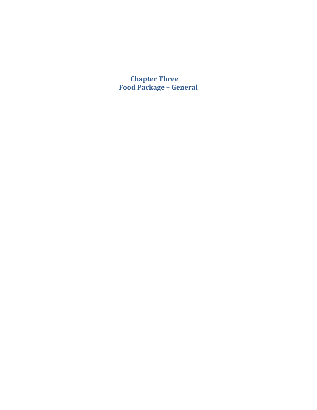<span id="page-0-0"></span>**Chapter Three Food Package – General**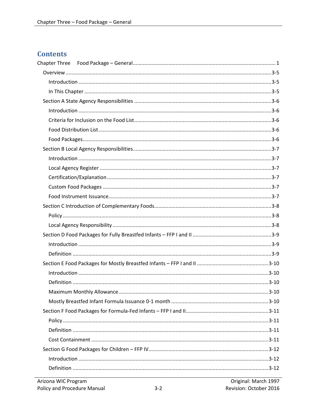## **Contents**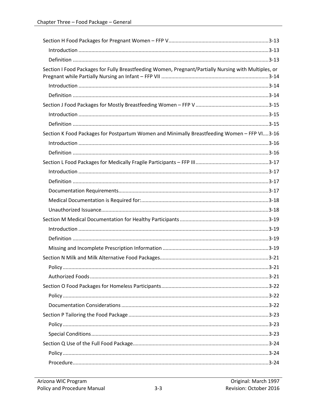| Section I Food Packages for Fully Breastfeeding Women, Pregnant/Partially Nursing with Multiples, or |  |
|------------------------------------------------------------------------------------------------------|--|
|                                                                                                      |  |
|                                                                                                      |  |
|                                                                                                      |  |
|                                                                                                      |  |
|                                                                                                      |  |
| Section K Food Packages for Postpartum Women and Minimally Breastfeeding Women - FFP VI3-16          |  |
|                                                                                                      |  |
|                                                                                                      |  |
|                                                                                                      |  |
|                                                                                                      |  |
|                                                                                                      |  |
|                                                                                                      |  |
|                                                                                                      |  |
|                                                                                                      |  |
|                                                                                                      |  |
|                                                                                                      |  |
|                                                                                                      |  |
|                                                                                                      |  |
|                                                                                                      |  |
|                                                                                                      |  |
|                                                                                                      |  |
|                                                                                                      |  |
|                                                                                                      |  |
|                                                                                                      |  |
|                                                                                                      |  |
|                                                                                                      |  |
|                                                                                                      |  |
|                                                                                                      |  |
|                                                                                                      |  |
|                                                                                                      |  |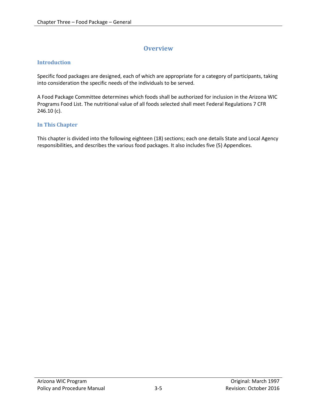# **Overview**

#### <span id="page-4-1"></span><span id="page-4-0"></span>**Introduction**

Specific food packages are designed, each of which are appropriate for a category of participants, taking into consideration the specific needs of the individuals to be served.

A Food Package Committee determines which foods shall be authorized for inclusion in the Arizona WIC Programs Food List. The nutritional value of all foods selected shall meet Federal Regulations 7 CFR 246.10 (c).

#### <span id="page-4-2"></span>**In This Chapter**

This chapter is divided into the following eighteen (18) sections; each one details State and Local Agency responsibilities, and describes the various food packages. It also includes five (5) Appendices.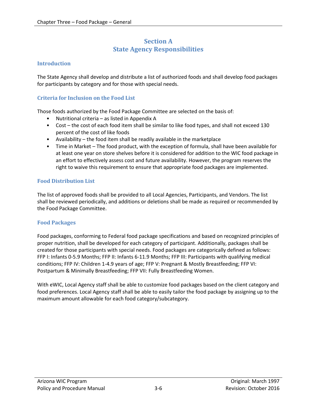## **Section A State Agency Responsibilities**

#### <span id="page-5-1"></span><span id="page-5-0"></span>**Introduction**

The State Agency shall develop and distribute a list of authorized foods and shall develop food packages for participants by category and for those with special needs.

#### <span id="page-5-2"></span>**Criteria for Inclusion on the Food List**

Those foods authorized by the Food Package Committee are selected on the basis of:

- Nutritional criteria as listed in Appendix A
- Cost the cost of each food item shall be similar to like food types, and shall not exceed 130 percent of the cost of like foods
- Availability the food item shall be readily available in the marketplace
- Time in Market The food product, with the exception of formula, shall have been available for at least one year on store shelves before it is considered for addition to the WIC food package in an effort to effectively assess cost and future availability. However, the program reserves the right to waive this requirement to ensure that appropriate food packages are implemented.

#### <span id="page-5-3"></span>**Food Distribution List**

The list of approved foods shall be provided to all Local Agencies, Participants, and Vendors. The list shall be reviewed periodically, and additions or deletions shall be made as required or recommended by the Food Package Committee.

#### <span id="page-5-4"></span>**Food Packages**

Food packages, conforming to Federal food package specifications and based on recognized principles of proper nutrition, shall be developed for each category of participant. Additionally, packages shall be created for those participants with special needs. Food packages are categorically defined as follows: FFP I: Infants 0-5.9 Months; FFP II: Infants 6-11.9 Months; FFP III: Participants with qualifying medical conditions; FFP IV: Children 1-4.9 years of age; FFP V: Pregnant & Mostly Breastfeeding; FFP VI: Postpartum & Minimally Breastfeeding; FFP VII: Fully Breastfeeding Women.

With eWIC, Local Agency staff shall be able to customize food packages based on the client category and food preferences. Local Agency staff shall be able to easily tailor the food package by assigning up to the maximum amount allowable for each food category/subcategory.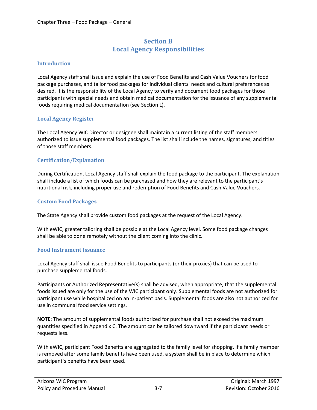## **Section B Local Agency Responsibilities**

#### <span id="page-6-1"></span><span id="page-6-0"></span>**Introduction**

Local Agency staff shall issue and explain the use of Food Benefits and Cash Value Vouchers for food package purchases, and tailor food packages for individual clients' needs and cultural preferences as desired. It is the responsibility of the Local Agency to verify and document food packages for those participants with special needs and obtain medical documentation for the issuance of any supplemental foods requiring medical documentation (see Section L).

#### <span id="page-6-2"></span>**Local Agency Register**

The Local Agency WIC Director or designee shall maintain a current listing of the staff members authorized to issue supplemental food packages. The list shall include the names, signatures, and titles of those staff members.

#### <span id="page-6-3"></span>**Certification/Explanation**

During Certification, Local Agency staff shall explain the food package to the participant. The explanation shall include a list of which foods can be purchased and how they are relevant to the participant's nutritional risk, including proper use and redemption of Food Benefits and Cash Value Vouchers.

#### <span id="page-6-4"></span>**Custom Food Packages**

The State Agency shall provide custom food packages at the request of the Local Agency.

With eWIC, greater tailoring shall be possible at the Local Agency level. Some food package changes shall be able to done remotely without the client coming into the clinic.

#### <span id="page-6-5"></span>**Food Instrument Issuance**

Local Agency staff shall issue Food Benefits to participants (or their proxies) that can be used to purchase supplemental foods.

Participants or Authorized Representative(s) shall be advised, when appropriate, that the supplemental foods issued are only for the use of the WIC participant only. Supplemental foods are not authorized for participant use while hospitalized on an in-patient basis. Supplemental foods are also not authorized for use in communal food service settings.

**NOTE**: The amount of supplemental foods authorized for purchase shall not exceed the maximum quantities specified in Appendix C. The amount can be tailored downward if the participant needs or requests less.

With eWIC, participant Food Benefits are aggregated to the family level for shopping. If a family member is removed after some family benefits have been used, a system shall be in place to determine which participant's benefits have been used.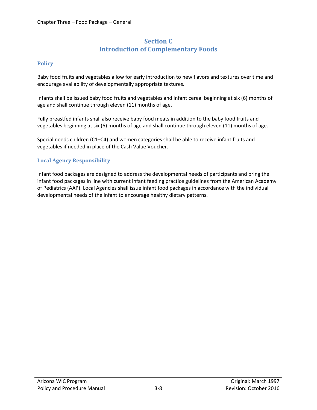## **Section C Introduction of Complementary Foods**

#### <span id="page-7-1"></span><span id="page-7-0"></span>**Policy**

Baby food fruits and vegetables allow for early introduction to new flavors and textures over time and encourage availability of developmentally appropriate textures.

Infants shall be issued baby food fruits and vegetables and infant cereal beginning at six (6) months of age and shall continue through eleven (11) months of age.

Fully breastfed infants shall also receive baby food meats in addition to the baby food fruits and vegetables beginning at six (6) months of age and shall continue through eleven (11) months of age.

Special needs children (C1–C4) and women categories shall be able to receive infant fruits and vegetables if needed in place of the Cash Value Voucher.

#### <span id="page-7-2"></span>**Local Agency Responsibility**

Infant food packages are designed to address the developmental needs of participants and bring the infant food packages in line with current infant feeding practice guidelines from the American Academy of Pediatrics (AAP). Local Agencies shall issue infant food packages in accordance with the individual developmental needs of the infant to encourage healthy dietary patterns.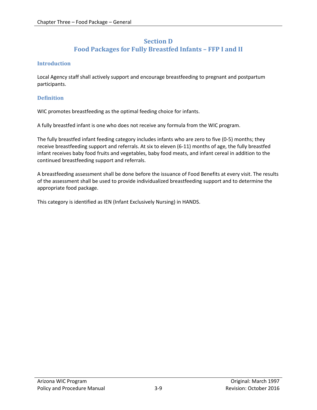## **Section D Food Packages for Fully Breastfed Infants – FFP I and II**

#### <span id="page-8-1"></span><span id="page-8-0"></span>**Introduction**

Local Agency staff shall actively support and encourage breastfeeding to pregnant and postpartum participants.

#### <span id="page-8-2"></span>**Definition**

WIC promotes breastfeeding as the optimal feeding choice for infants.

A fully breastfed infant is one who does not receive any formula from the WIC program.

The fully breastfed infant feeding category includes infants who are zero to five (0-5) months; they receive breastfeeding support and referrals. At six to eleven (6-11) months of age, the fully breastfed infant receives baby food fruits and vegetables, baby food meats, and infant cereal in addition to the continued breastfeeding support and referrals.

A breastfeeding assessment shall be done before the issuance of Food Benefits at every visit. The results of the assessment shall be used to provide individualized breastfeeding support and to determine the appropriate food package.

This category is identified as IEN (Infant Exclusively Nursing) in HANDS.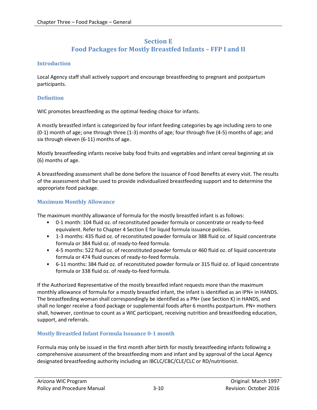## **Section E Food Packages for Mostly Breastfed Infants – FFP I and II**

#### <span id="page-9-1"></span><span id="page-9-0"></span>**Introduction**

Local Agency staff shall actively support and encourage breastfeeding to pregnant and postpartum participants.

#### <span id="page-9-2"></span>**Definition**

WIC promotes breastfeeding as the optimal feeding choice for infants.

A mostly breastfed infant is categorized by four infant feeding categories by age including zero to one (0-1) month of age; one through three (1-3) months of age; four through five (4-5) months of age; and six through eleven (6-11) months of age.

Mostly breastfeeding infants receive baby food fruits and vegetables and infant cereal beginning at six (6) months of age.

A breastfeeding assessment shall be done before the issuance of Food Benefits at every visit. The results of the assessment shall be used to provide individualized breastfeeding support and to determine the appropriate food package.

#### <span id="page-9-3"></span>**Maximum Monthly Allowance**

The maximum monthly allowance of formula for the mostly breastfed infant is as follows:

- 0-1 month: 104 fluid oz. of reconstituted powder formula or concentrate or ready-to-feed equivalent. Refer to Chapter 4 Section E for liquid formula issuance policies.
- 1-3 months: 435 fluid oz. of reconstituted powder formula or 388 fluid oz. of liquid concentrate formula or 384 fluid oz. of ready-to-feed formula.
- 4-5 months: 522 fluid oz. of reconstituted powder formula or 460 fluid oz. of liquid concentrate formula or 474 fluid ounces of ready-to-feed formula.
- 6-11 months: 384 fluid oz. of reconstituted powder formula or 315 fluid oz. of liquid concentrate formula or 338 fluid oz. of ready-to-feed formula.

If the Authorized Representative of the mostly breastfed infant requests more than the maximum monthly allowance of formula for a mostly breastfed infant, the infant is identified as an IPN+ in HANDS. The breastfeeding woman shall correspondingly be identified as a PN+ (see Section K) in HANDS, and shall no longer receive a food package or supplemental foods after 6 months postpartum. PN+ mothers shall, however, continue to count as a WIC participant, receiving nutrition and breastfeeding education, support, and referrals.

#### <span id="page-9-4"></span>**Mostly Breastfed Infant Formula Issuance 0-1 month**

Formula may only be issued in the first month after birth for mostly breastfeeding infants following a comprehensive assessment of the breastfeeding mom and infant and by approval of the Local Agency designated breastfeeding authority including an IBCLC/CBC/CLE/CLC or RD/nutritionist.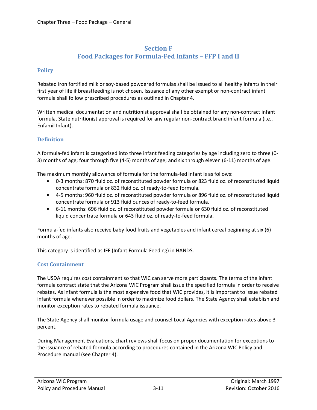### **Section F Food Packages for Formula-Fed Infants – FFP I and II**

#### <span id="page-10-1"></span><span id="page-10-0"></span>**Policy**

Rebated iron fortified milk or soy-based powdered formulas shall be issued to all healthy infants in their first year of life if breastfeeding is not chosen. Issuance of any other exempt or non-contract infant formula shall follow prescribed procedures as outlined in Chapter 4.

Written medical documentation and nutritionist approval shall be obtained for any non-contract infant formula. State nutritionist approval is required for any regular non-contract brand infant formula (i.e., Enfamil Infant).

#### <span id="page-10-2"></span>**Definition**

A formula-fed infant is categorized into three infant feeding categories by age including zero to three (0- 3) months of age; four through five (4-5) months of age; and six through eleven (6-11) months of age.

The maximum monthly allowance of formula for the formula-fed infant is as follows:

- 0-3 months: 870 fluid oz. of reconstituted powder formula or 823 fluid oz. of reconstituted liquid concentrate formula or 832 fluid oz. of ready-to-feed formula.
- 4-5 months: 960 fluid oz. of reconstituted powder formula or 896 fluid oz. of reconstituted liquid concentrate formula or 913 fluid ounces of ready-to-feed formula.
- 6-11 months: 696 fluid oz. of reconstituted powder formula or 630 fluid oz. of reconstituted liquid concentrate formula or 643 fluid oz. of ready-to-feed formula.

Formula-fed infants also receive baby food fruits and vegetables and infant cereal beginning at six (6) months of age.

This category is identified as IFF (Infant Formula Feeding) in HANDS.

#### <span id="page-10-3"></span>**Cost Containment**

The USDA requires cost containment so that WIC can serve more participants. The terms of the infant formula contract state that the Arizona WIC Program shall issue the specified formula in order to receive rebates. As infant formula is the most expensive food that WIC provides, it is important to issue rebated infant formula whenever possible in order to maximize food dollars. The State Agency shall establish and monitor exception rates to rebated formula issuance.

The State Agency shall monitor formula usage and counsel Local Agencies with exception rates above 3 percent.

During Management Evaluations, chart reviews shall focus on proper documentation for exceptions to the issuance of rebated formula according to procedures contained in the Arizona WIC Policy and Procedure manual (see Chapter 4).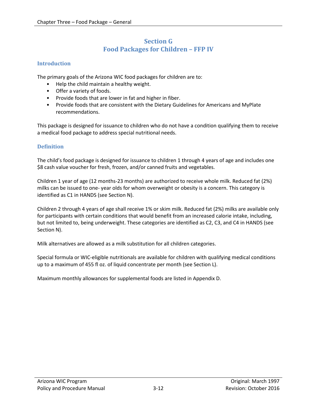## **Section G Food Packages for Children – FFP IV**

#### <span id="page-11-1"></span><span id="page-11-0"></span>**Introduction**

The primary goals of the Arizona WIC food packages for children are to:

- Help the child maintain a healthy weight.
- Offer a variety of foods.
- Provide foods that are lower in fat and higher in fiber.
- Provide foods that are consistent with the Dietary Guidelines for Americans and MyPlate recommendations.

This package is designed for issuance to children who do not have a condition qualifying them to receive a medical food package to address special nutritional needs.

#### <span id="page-11-2"></span>**Definition**

The child's food package is designed for issuance to children 1 through 4 years of age and includes one \$8 cash value voucher for fresh, frozen, and/or canned fruits and vegetables.

Children 1 year of age (12 months-23 months) are authorized to receive whole milk. Reduced fat (2%) milks can be issued to one- year olds for whom overweight or obesity is a concern. This category is identified as C1 in HANDS (see Section N).

Children 2 through 4 years of age shall receive 1% or skim milk. Reduced fat (2%) milks are available only for participants with certain conditions that would benefit from an increased calorie intake, including, but not limited to, being underweight. These categories are identified as C2, C3, and C4 in HANDS (see Section N).

Milk alternatives are allowed as a milk substitution for all children categories.

Special formula or WIC-eligible nutritionals are available for children with qualifying medical conditions up to a maximum of 455 fl oz. of liquid concentrate per month (see Section L).

Maximum monthly allowances for supplemental foods are listed in Appendix D.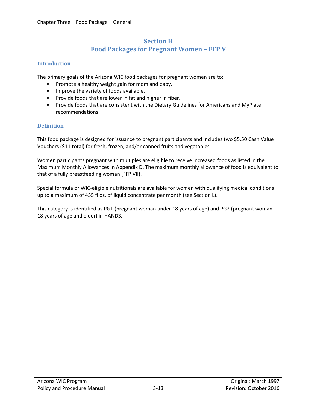## **Section H Food Packages for Pregnant Women – FFP V**

#### <span id="page-12-1"></span><span id="page-12-0"></span>**Introduction**

The primary goals of the Arizona WIC food packages for pregnant women are to:

- Promote a healthy weight gain for mom and baby.
- Improve the variety of foods available.
- Provide foods that are lower in fat and higher in fiber.
- Provide foods that are consistent with the Dietary Guidelines for Americans and MyPlate recommendations.

#### <span id="page-12-2"></span>**Definition**

This food package is designed for issuance to pregnant participants and includes two \$5.50 Cash Value Vouchers (\$11 total) for fresh, frozen, and/or canned fruits and vegetables.

Women participants pregnant with multiples are eligible to receive increased foods as listed in the Maximum Monthly Allowances in Appendix D. The maximum monthly allowance of food is equivalent to that of a fully breastfeeding woman (FFP VII).

Special formula or WIC-eligible nutritionals are available for women with qualifying medical conditions up to a maximum of 455 fl oz. of liquid concentrate per month (see Section L).

This category is identified as PG1 (pregnant woman under 18 years of age) and PG2 (pregnant woman 18 years of age and older) in HANDS.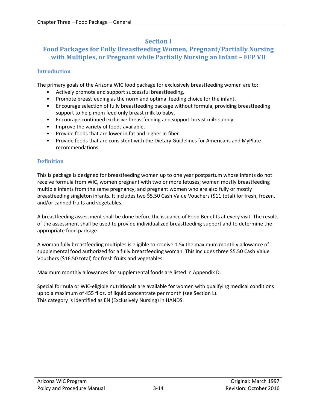## **Section I**

## <span id="page-13-0"></span>**Food Packages for Fully Breastfeeding Women, Pregnant/Partially Nursing with Multiples, or Pregnant while Partially Nursing an Infant – FFP VII**

### <span id="page-13-1"></span>**Introduction**

The primary goals of the Arizona WIC food package for exclusively breastfeeding women are to:

- Actively promote and support successful breastfeeding.
- Promote breastfeeding as the norm and optimal feeding choice for the infant.
- Encourage selection of fully breastfeeding package without formula, providing breastfeeding support to help mom feed only breast milk to baby.
- Encourage continued exclusive breastfeeding and support breast milk supply.
- Improve the variety of foods available.
- Provide foods that are lower in fat and higher in fiber.
- Provide foods that are consistent with the Dietary Guidelines for Americans and MyPlate recommendations.

#### <span id="page-13-2"></span>**Definition**

This is package is designed for breastfeeding women up to one year postpartum whose infants do not receive formula from WIC, women pregnant with two or more fetuses; women mostly breastfeeding multiple infants from the same pregnancy; and pregnant women who are also fully or mostly breastfeeding singleton infants. It includes two \$5.50 Cash Value Vouchers (\$11 total) for fresh, frozen, and/or canned fruits and vegetables.

A breastfeeding assessment shall be done before the issuance of Food Benefits at every visit. The results of the assessment shall be used to provide individualized breastfeeding support and to determine the appropriate food package.

A woman fully breastfeeding multiples is eligible to receive 1.5x the maximum monthly allowance of supplemental food authorized for a fully breastfeeding woman. This includes three \$5.50 Cash Value Vouchers (\$16.50 total) for fresh fruits and vegetables.

Maximum monthly allowances for supplemental foods are listed in Appendix D.

Special formula or WIC-eligible nutritionals are available for women with qualifying medical conditions up to a maximum of 455 fl oz. of liquid concentrate per month (see Section L). This category is identified as EN (Exclusively Nursing) in HANDS.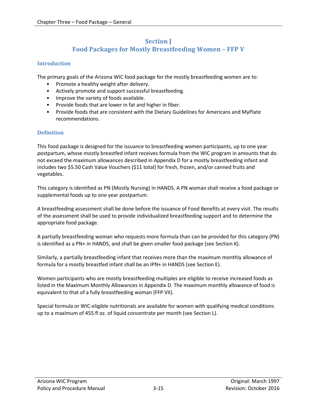## **Section J Food Packages for Mostly Breastfeeding Women – FFP V**

#### <span id="page-14-1"></span><span id="page-14-0"></span>**Introduction**

The primary goals of the Arizona WIC food package for the mostly breastfeeding women are to:

- Promote a healthy weight after delivery.
- Actively promote and support successful breastfeeding.
- Improve the variety of foods available.
- Provide foods that are lower in fat and higher in fiber.
- Provide foods that are consistent with the Dietary Guidelines for Americans and MyPlate recommendations.

#### <span id="page-14-2"></span>**Definition**

This food package is designed for the issuance to breastfeeding women participants, up to one year postpartum, whose mostly breastfed infant receives formula from the WIC program in amounts that do not exceed the maximum allowances described in Appendix D for a mostly breastfeeding infant and includes two \$5.50 Cash Value Vouchers (\$11 total) for fresh, frozen, and/or canned fruits and vegetables.

This category is identified as PN (Mostly Nursing) in HANDS. A PN woman shall receive a food package or supplemental foods up to one year postpartum.

A breastfeeding assessment shall be done before the issuance of Food Benefits at every visit. The results of the assessment shall be used to provide individualized breastfeeding support and to determine the appropriate food package.

A partially breastfeeding woman who requests more formula than can be provided for this category (PN) is identified as a PN+ in HANDS, and shall be given smaller food package (see Section K).

Similarly, a partially breastfeeding infant that receives more than the maximum monthly allowance of formula for a mostly breastfed infant shall be an IPN+ in HANDS (see Section E).

Women participants who are mostly breastfeeding multiples are eligible to receive increased foods as listed in the Maximum Monthly Allowances in Appendix D. The maximum monthly allowance of food is equivalent to that of a fully breastfeeding woman (FFP VII).

Special formula or WIC-eligible nutritionals are available for women with qualifying medical conditions up to a maximum of 455 fl oz. of liquid concentrate per month (see Section L).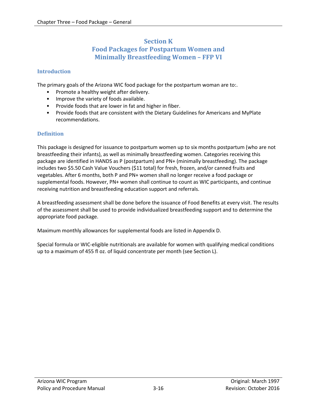### **Section K Food Packages for Postpartum Women and Minimally Breastfeeding Women – FFP VI**

#### <span id="page-15-1"></span><span id="page-15-0"></span>**Introduction**

The primary goals of the Arizona WIC food package for the postpartum woman are to:.

- Promote a healthy weight after delivery.
- Improve the variety of foods available.
- Provide foods that are lower in fat and higher in fiber.
- Provide foods that are consistent with the Dietary Guidelines for Americans and MyPlate recommendations.

#### <span id="page-15-2"></span>**Definition**

This package is designed for issuance to postpartum women up to six months postpartum (who are not breastfeeding their infants), as well as minimally breastfeeding women. Categories receiving this package are identified in HANDS as P (postpartum) and PN+ (minimally breastfeeding). The package includes two \$5.50 Cash Value Vouchers (\$11 total) for fresh, frozen, and/or canned fruits and vegetables. After 6 months, both P and PN+ women shall no longer receive a food package or supplemental foods. However, PN+ women shall continue to count as WIC participants, and continue receiving nutrition and breastfeeding education support and referrals.

A breastfeeding assessment shall be done before the issuance of Food Benefits at every visit. The results of the assessment shall be used to provide individualized breastfeeding support and to determine the appropriate food package.

Maximum monthly allowances for supplemental foods are listed in Appendix D.

Special formula or WIC-eligible nutritionals are available for women with qualifying medical conditions up to a maximum of 455 fl oz. of liquid concentrate per month (see Section L).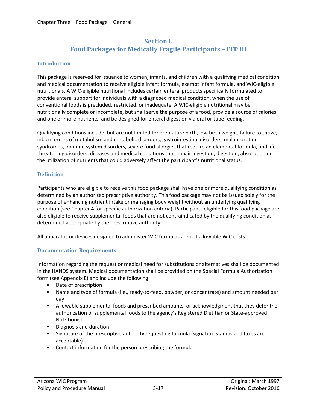## **Section L Food Packages for Medically Fragile Participants – FFP III**

#### <span id="page-16-1"></span><span id="page-16-0"></span>**Introduction**

This package is reserved for issuance to women, infants, and children with a qualifying medical condition and medical documentation to receive eligible infant formula, exempt infant formula, and WIC-eligible nutritionals. A WIC-eligible nutritional includes certain enteral products specifically formulated to provide enteral support for individuals with a diagnosed medical condition, when the use of conventional foods is precluded, restricted, or inadequate. A WIC-eligible nutritional may be nutritionally complete or incomplete, but shall serve the purpose of a food, provide a source of calories and one or more nutrients, and be designed for enteral digestion via oral or tube feeding.

Qualifying conditions include, but are not limited to: premature birth, low birth weight, failure to thrive, inborn errors of metabolism and metabolic disorders, gastrointestinal disorders, malabsorption syndromes, immune system disorders, severe food allergies that require an elemental formula, and life threatening disorders, diseases and medical conditions that impair ingestion, digestion, absorption or the utilization of nutrients that could adversely affect the participant's nutritional status.

#### <span id="page-16-2"></span>**Definition**

Participants who are eligible to receive this food package shall have one or more qualifying condition as determined by an authorized prescriptive authority. This food package may not be issued solely for the purpose of enhancing nutrient intake or managing body weight without an underlying qualifying condition (see Chapter 4 for specific authorization criteria). Participants eligible for this food package are also eligible to receive supplemental foods that are not contraindicated by the qualifying condition as determined appropriate by the prescriptive authority.

All apparatus or devices designed to administer WIC formulas are not allowable WIC costs.

#### <span id="page-16-3"></span>**Documentation Requirements**

Information regarding the request or medical need for substitutions or alternatives shall be documented in the HANDS system. Medical documentation shall be provided on the Special Formula Authorization form (see Appendix E) and include the following:

- Date of prescription
- Name and type of formula (i.e., ready-to-feed, powder, or concentrate) and amount needed per day
- Allowable supplemental foods and prescribed amounts, or acknowledgment that they defer the authorization of supplemental foods to the agency's Registered Dietitian or State-approved Nutritionist
- Diagnosis and duration
- Signature of the prescriptive authority requesting formula (signature stamps and faxes are acceptable)
- Contact information for the person prescribing the formula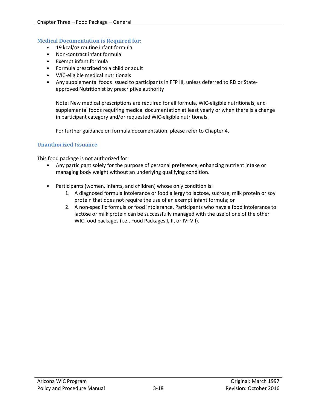#### <span id="page-17-0"></span>**Medical Documentation is Required for:**

- 19 kcal/oz routine infant formula
- Non-contract infant formula
- Exempt infant formula
- Formula prescribed to a child or adult
- WIC-eligible medical nutritionals
- Any supplemental foods issued to participants in FFP III, unless deferred to RD or Stateapproved Nutritionist by prescriptive authority

Note: New medical prescriptions are required for all formula, WIC-eligible nutritionals, and supplemental foods requiring medical documentation at least yearly or when there is a change in participant category and/or requested WIC-eligible nutritionals.

For further guidance on formula documentation, please refer to Chapter 4.

#### <span id="page-17-1"></span>**Unauthorized Issuance**

This food package is not authorized for:

- Any participant solely for the purpose of personal preference, enhancing nutrient intake or managing body weight without an underlying qualifying condition.
- Participants (women, infants, and children) whose only condition is:
	- 1. A diagnosed formula intolerance or food allergy to lactose, sucrose, milk protein or soy protein that does not require the use of an exempt infant formula; or
	- 2. A non-specific formula or food intolerance. Participants who have a food intolerance to lactose or milk protein can be successfully managed with the use of one of the other WIC food packages (i.e., Food Packages I, II, or IV–VII).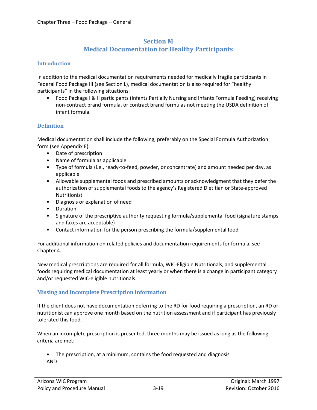## **Section M Medical Documentation for Healthy Participants**

#### <span id="page-18-1"></span><span id="page-18-0"></span>**Introduction**

In addition to the medical documentation requirements needed for medically fragile participants in Federal Food Package III (see Section L), medical documentation is also required for "healthy participants" in the following situations:

• Food Package I & II participants (Infants Partially Nursing and Infants Formula Feeding) receiving non-contract brand formula, or contract brand formulas not meeting the USDA definition of infant formula.

#### <span id="page-18-2"></span>**Definition**

Medical documentation shall include the following, preferably on the Special Formula Authorization form (see Appendix E):

- Date of prescription
- Name of formula as applicable
- Type of formula (i.e., ready-to-feed, powder, or concentrate) and amount needed per day, as applicable
- Allowable supplemental foods and prescribed amounts or acknowledgment that they defer the authorization of supplemental foods to the agency's Registered Dietitian or State-approved Nutritionist
- Diagnosis or explanation of need
- Duration
- Signature of the prescriptive authority requesting formula/supplemental food (signature stamps and faxes are acceptable)
- Contact information for the person prescribing the formula/supplemental food

For additional information on related policies and documentation requirements for formula, see Chapter 4.

New medical prescriptions are required for all formula, WIC-Eligible Nutritionals, and supplemental foods requiring medical documentation at least yearly or when there is a change in participant category and/or requested WIC-eligible nutritionals.

#### <span id="page-18-3"></span>**Missing and Incomplete Prescription Information**

If the client does not have documentation deferring to the RD for food requiring a prescription, an RD or nutritionist can approve one month based on the nutrition assessment and if participant has previously tolerated this food.

When an incomplete prescription is presented, three months may be issued as long as the following criteria are met:

• The prescription, at a minimum, contains the food requested and diagnosis AND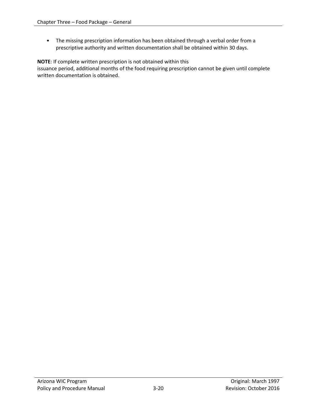• The missing prescription information has been obtained through a verbal order from a prescriptive authority and written documentation shall be obtained within 30 days.

**NOTE**: If complete written prescription is not obtained within this

issuance period, additional months of the food requiring prescription cannot be given until complete written documentation is obtained.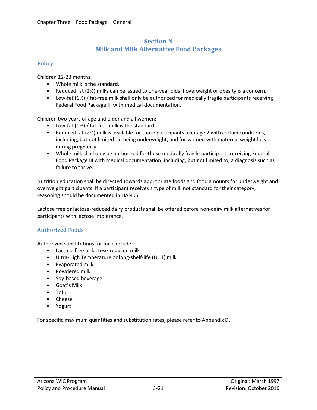## **Section N Milk and Milk Alternative Food Packages**

#### <span id="page-20-1"></span><span id="page-20-0"></span>**Policy**

Children 12-23 months:

- Whole milk is the standard.
- Reduced fat (2%) milks can be issued to one-year olds if overweight or obesity is a concern.
- Low-fat (1%) / fat-free milk shall only be authorized for medically fragile participants receiving Federal Food Package III with medical documentation.

Children two years of age and older and all women:

- Low-fat (1%) / fat-free milk is the standard.
- Reduced fat (2%) milk is available for those participants over age 2 with certain conditions, including, but not limited to, being underweight, and for women with maternal weight loss during pregnancy.
- Whole milk shall only be authorized for those medically fragile participants receiving Federal Food Package III with medical documentation, including, but not limited to, a diagnosis such as failure to thrive.

Nutrition education shall be directed towards appropriate foods and food amounts for underweight and overweight participants. If a participant receives a type of milk not standard for their category, reasoning should be documented in HANDS.

Lactose free or lactose-reduced dairy products shall be offered before non-dairy milk alternatives for participants with lactose intolerance.

#### <span id="page-20-2"></span>**Authorized Foods**

Authorized substitutions for milk include:

- Lactose free or lactose-reduced milk
- Ultra-High Temperature or long-shelf-life (UHT) milk
- Evaporated milk
- Powdered milk
- Soy-based beverage
- Goat's Milk
- Tofu
- Cheese
- Yogurt

For specific maximum quantities and substitution rates, please refer to Appendix D.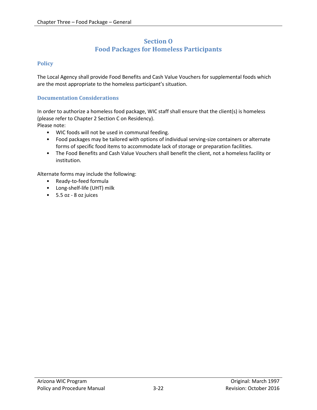### **Section O Food Packages for Homeless Participants**

#### <span id="page-21-1"></span><span id="page-21-0"></span>**Policy**

The Local Agency shall provide Food Benefits and Cash Value Vouchers for supplemental foods which are the most appropriate to the homeless participant's situation.

#### <span id="page-21-2"></span>**Documentation Considerations**

In order to authorize a homeless food package, WIC staff shall ensure that the client(s) is homeless (please refer to Chapter 2 Section C on Residency).

Please note:

- WIC foods will not be used in communal feeding.
- Food packages may be tailored with options of individual serving-size containers or alternate forms of specific food items to accommodate lack of storage or preparation facilities.
- The Food Benefits and Cash Value Vouchers shall benefit the client, not a homeless facility or institution.

Alternate forms may include the following:

- Ready-to-feed formula
- Long-shelf-life (UHT) milk
- 5.5 oz 8 oz juices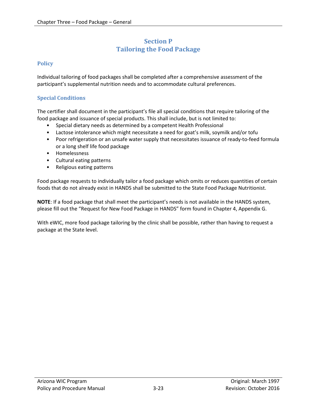## **Section P Tailoring the Food Package**

#### <span id="page-22-1"></span><span id="page-22-0"></span>**Policy**

Individual tailoring of food packages shall be completed after a comprehensive assessment of the participant's supplemental nutrition needs and to accommodate cultural preferences.

#### <span id="page-22-2"></span>**Special Conditions**

The certifier shall document in the participant's file all special conditions that require tailoring of the food package and issuance of special products. This shall include, but is not limited to:

- Special dietary needs as determined by a competent Health Professional
- Lactose intolerance which might necessitate a need for goat's milk, soymilk and/or tofu
- Poor refrigeration or an unsafe water supply that necessitates issuance of ready-to-feed formula or a long shelf life food package
- Homelessness
- Cultural eating patterns
- Religious eating patterns

Food package requests to individually tailor a food package which omits or reduces quantities of certain foods that do not already exist in HANDS shall be submitted to the State Food Package Nutritionist.

**NOTE**: If a food package that shall meet the participant's needs is not available in the HANDS system, please fill out the "Request for New Food Package in HANDS" form found in Chapter 4, Appendix G.

With eWIC, more food package tailoring by the clinic shall be possible, rather than having to request a package at the State level.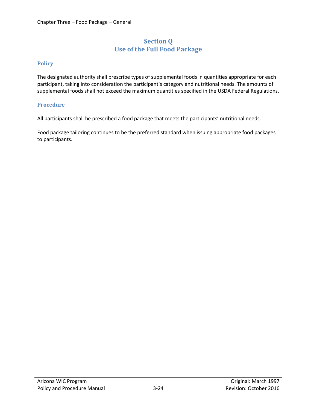## **Section Q Use of the Full Food Package**

#### <span id="page-23-1"></span><span id="page-23-0"></span>**Policy**

The designated authority shall prescribe types of supplemental foods in quantities appropriate for each participant, taking into consideration the participant's category and nutritional needs. The amounts of supplemental foods shall not exceed the maximum quantities specified in the USDA Federal Regulations.

#### <span id="page-23-2"></span>**Procedure**

All participants shall be prescribed a food package that meets the participants' nutritional needs.

Food package tailoring continues to be the preferred standard when issuing appropriate food packages to participants.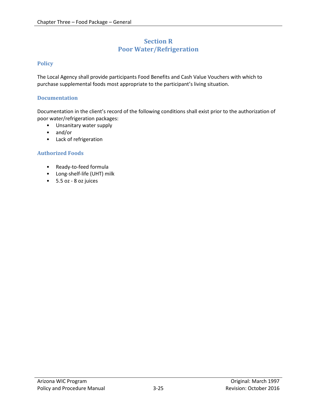## **Section R Poor Water/Refrigeration**

#### <span id="page-24-1"></span><span id="page-24-0"></span>**Policy**

The Local Agency shall provide participants Food Benefits and Cash Value Vouchers with which to purchase supplemental foods most appropriate to the participant's living situation.

#### <span id="page-24-2"></span>**Documentation**

Documentation in the client's record of the following conditions shall exist prior to the authorization of poor water/refrigeration packages:

- Unsanitary water supply
- and/or
- Lack of refrigeration

#### <span id="page-24-3"></span>**Authorized Foods**

- Ready-to-feed formula
- Long-shelf-life (UHT) milk
- 5.5 oz 8 oz juices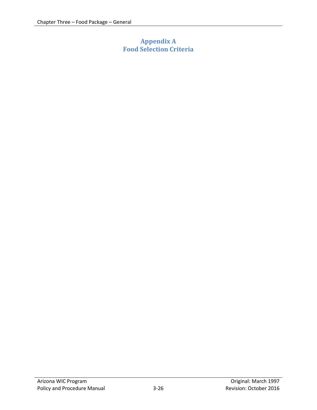# <span id="page-25-0"></span>**Appendix A Food Selection Criteria**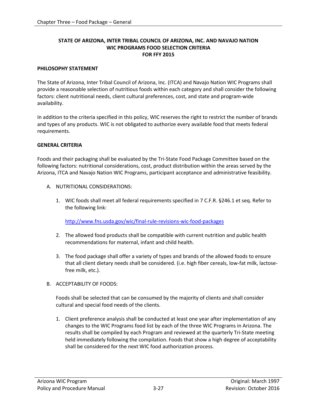#### **STATE OF ARIZONA, INTER TRIBAL COUNCIL OF ARIZONA, INC. AND NAVAJO NATION WIC PROGRAMS FOOD SELECTION CRITERIA FOR FFY 2015**

#### **PHILOSOPHY STATEMENT**

The State of Arizona, Inter Tribal Council of Arizona, Inc. (ITCA) and Navajo Nation WIC Programs shall provide a reasonable selection of nutritious foods within each category and shall consider the following factors: client nutritional needs, client cultural preferences, cost, and state and program-wide availability.

In addition to the criteria specified in this policy, WIC reserves the right to restrict the number of brands and types of any products. WIC is not obligated to authorize every available food that meets federal requirements.

#### **GENERAL CRITERIA**

Foods and their packaging shall be evaluated by the Tri-State Food Package Committee based on the following factors: nutritional considerations, cost, product distribution within the areas served by the Arizona, ITCA and Navajo Nation WIC Programs, participant acceptance and administrative feasibility.

- A. NUTRITIONAL CONSIDERATIONS:
	- 1. WIC foods shall meet all federal requirements specified in 7 C.F.R. §246.1 et seq. Refer to the following link:

<http://www.fns.usda.gov/wic/final-rule-revisions-wic-food-packages>

- 2. The allowed food products shall be compatible with current nutrition and public health recommendations for maternal, infant and child health.
- 3. The food package shall offer a variety of types and brands of the allowed foods to ensure that all client dietary needs shall be considered. (i.e. high fiber cereals, low-fat milk, lactosefree milk, etc.).
- B. ACCEPTABILITY OF FOODS:

Foods shall be selected that can be consumed by the majority of clients and shall consider cultural and special food needs of the clients.

1. Client preference analysis shall be conducted at least one year after implementation of any changes to the WIC Programs food list by each of the three WIC Programs in Arizona. The results shall be compiled by each Program and reviewed at the quarterly Tri-State meeting held immediately following the compilation. Foods that show a high degree of acceptability shall be considered for the next WIC food authorization process.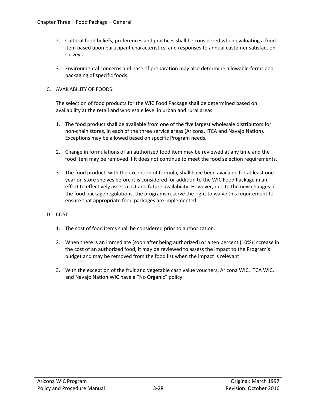- 2. Cultural food beliefs, preferences and practices shall be considered when evaluating a food item based upon participant characteristics, and responses to annual customer satisfaction surveys.
- 3. Environmental concerns and ease of preparation may also determine allowable forms and packaging of specific foods.

#### C. AVAILABILITY OF FOODS:

The selection of food products for the WIC Food Package shall be determined based on availability at the retail and wholesale level in urban and rural areas.

- 1. The food product shall be available from one of the five largest wholesale distributors for non-chain stores, in each of the three service areas (Arizona, ITCA and Navajo Nation). Exceptions may be allowed based on specific Program needs.
- 2. Change in formulations of an authorized food item may be reviewed at any time and the food item may be removed if it does not continue to meet the food selection requirements.
- 3. The food product, with the exception of formula, shall have been available for at least one year on store shelves before it is considered for addition to the WIC Food Package in an effort to effectively assess cost and future availability. However, due to the new changes in the food package regulations, the programs reserve the right to waive this requirement to ensure that appropriate food packages are implemented.
- D. COST
	- 1. The cost of food items shall be considered prior to authorization.
	- 2. When there is an immediate (soon after being authorized) or a ten percent (10%) increase in the cost of an authorized food, it may be reviewed to assess the impact to the Program's budget and may be removed from the food list when the impact is relevant.
	- 3. With the exception of the fruit and vegetable cash value vouchers, Arizona WIC, ITCA WIC, and Navajo Nation WIC have a "No Organic" policy.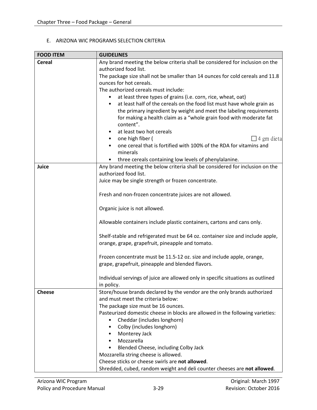#### E. ARIZONA WIC PROGRAMS SELECTION CRITERIA

| <b>FOOD ITEM</b> | <b>GUIDELINES</b>                                                                                                                                      |  |  |
|------------------|--------------------------------------------------------------------------------------------------------------------------------------------------------|--|--|
| <b>Cereal</b>    | Any brand meeting the below criteria shall be considered for inclusion on the<br>authorized food list.                                                 |  |  |
|                  | The package size shall not be smaller than 14 ounces for cold cereals and 11.8                                                                         |  |  |
|                  | ounces for hot cereals.                                                                                                                                |  |  |
|                  | The authorized cereals must include:<br>at least three types of grains (i.e. corn, rice, wheat, oat)<br>$\bullet$                                      |  |  |
|                  | at least half of the cereals on the food list must have whole grain as<br>$\bullet$                                                                    |  |  |
|                  | the primary ingredient by weight and meet the labeling requirements<br>for making a health claim as a "whole grain food with moderate fat<br>content". |  |  |
|                  | at least two hot cereals<br>$\bullet$                                                                                                                  |  |  |
|                  | one high fiber (<br>$\Box$ 4 gm dieta<br>$\bullet$<br>one cereal that is fortified with 100% of the RDA for vitamins and<br>$\bullet$<br>minerals      |  |  |
|                  | three cereals containing low levels of phenylalanine.<br>$\bullet$                                                                                     |  |  |
| Juice            | Any brand meeting the below criteria shall be considered for inclusion on the                                                                          |  |  |
|                  | authorized food list.                                                                                                                                  |  |  |
|                  | Juice may be single strength or frozen concentrate.<br>Fresh and non-frozen concentrate juices are not allowed.<br>Organic juice is not allowed.       |  |  |
|                  |                                                                                                                                                        |  |  |
|                  |                                                                                                                                                        |  |  |
|                  | Allowable containers include plastic containers, cartons and cans only.                                                                                |  |  |
|                  | Shelf-stable and refrigerated must be 64 oz. container size and include apple,<br>orange, grape, grapefruit, pineapple and tomato.                     |  |  |
|                  | Frozen concentrate must be 11.5-12 oz. size and include apple, orange,<br>grape, grapefruit, pineapple and blended flavors.                            |  |  |
|                  | Individual servings of juice are allowed only in specific situations as outlined<br>in policy.                                                         |  |  |
| <b>Cheese</b>    | Store/house brands declared by the vendor are the only brands authorized                                                                               |  |  |
|                  | and must meet the criteria below:                                                                                                                      |  |  |
|                  | The package size must be 16 ounces.                                                                                                                    |  |  |
|                  | Pasteurized domestic cheese in blocks are allowed in the following varieties:                                                                          |  |  |
|                  | Cheddar (includes longhorn)                                                                                                                            |  |  |
|                  | Colby (includes longhorn)<br>$\bullet$                                                                                                                 |  |  |
|                  | Monterey Jack                                                                                                                                          |  |  |
|                  | Mozzarella<br>$\bullet$                                                                                                                                |  |  |
|                  | Blended Cheese, including Colby Jack<br>$\bullet$                                                                                                      |  |  |
|                  | Mozzarella string cheese is allowed.                                                                                                                   |  |  |
|                  | Cheese sticks or cheese swirls are not allowed.                                                                                                        |  |  |
|                  | Shredded, cubed, random weight and deli counter cheeses are not allowed.                                                                               |  |  |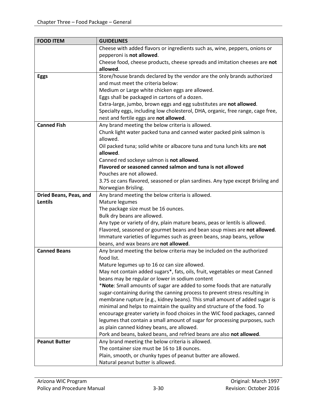| <b>FOOD ITEM</b>       | <b>GUIDELINES</b>                                                               |  |  |
|------------------------|---------------------------------------------------------------------------------|--|--|
|                        | Cheese with added flavors or ingredients such as, wine, peppers, onions or      |  |  |
|                        | pepperoni is not allowed.                                                       |  |  |
|                        | Cheese food, cheese products, cheese spreads and imitation cheeses are not      |  |  |
|                        | allowed.                                                                        |  |  |
| <b>Eggs</b>            | Store/house brands declared by the vendor are the only brands authorized        |  |  |
|                        | and must meet the criteria below:                                               |  |  |
|                        | Medium or Large white chicken eggs are allowed.                                 |  |  |
|                        | Eggs shall be packaged in cartons of a dozen.                                   |  |  |
|                        | Extra-large, jumbo, brown eggs and egg substitutes are not allowed.             |  |  |
|                        | Specialty eggs, including low cholesterol, DHA, organic, free range, cage free, |  |  |
|                        | nest and fertile eggs are not allowed.                                          |  |  |
| <b>Canned Fish</b>     | Any brand meeting the below criteria is allowed.                                |  |  |
|                        | Chunk light water packed tuna and canned water packed pink salmon is            |  |  |
|                        | allowed.                                                                        |  |  |
|                        | Oil packed tuna; solid white or albacore tuna and tuna lunch kits are not       |  |  |
|                        | allowed.                                                                        |  |  |
|                        | Canned red sockeye salmon is not allowed.                                       |  |  |
|                        | Flavored or seasoned canned salmon and tuna is not allowed                      |  |  |
|                        | Pouches are not allowed.                                                        |  |  |
|                        | 3.75 oz cans flavored, seasoned or plan sardines. Any type except Brisling and  |  |  |
|                        | Norwegian Brisling.                                                             |  |  |
| Dried Beans, Peas, and | Any brand meeting the below criteria is allowed.                                |  |  |
| <b>Lentils</b>         | Mature legumes                                                                  |  |  |
|                        | The package size must be 16 ounces.                                             |  |  |
|                        | Bulk dry beans are allowed.                                                     |  |  |
|                        | Any type or variety of dry, plain mature beans, peas or lentils is allowed.     |  |  |
|                        | Flavored, seasoned or gourmet beans and bean soup mixes are not allowed.        |  |  |
|                        | Immature varieties of legumes such as green beans, snap beans, yellow           |  |  |
|                        | beans, and wax beans are not allowed.                                           |  |  |
| <b>Canned Beans</b>    | Any brand meeting the below criteria may be included on the authorized          |  |  |
|                        | food list.                                                                      |  |  |
|                        | Mature legumes up to 16 oz can size allowed.                                    |  |  |
|                        | May not contain added sugars*, fats, oils, fruit, vegetables or meat Canned     |  |  |
|                        | beans may be regular or lower in sodium content                                 |  |  |
|                        | *Note: Small amounts of sugar are added to some foods that are naturally        |  |  |
|                        | sugar-containing during the canning process to prevent stress resulting in      |  |  |
|                        | membrane rupture (e.g., kidney beans). This small amount of added sugar is      |  |  |
|                        | minimal and helps to maintain the quality and structure of the food. To         |  |  |
|                        | encourage greater variety in food choices in the WIC food packages, canned      |  |  |
|                        | legumes that contain a small amount of sugar for processing purposes, such      |  |  |
|                        | as plain canned kidney beans, are allowed.                                      |  |  |
|                        | Pork and beans, baked beans, and refried beans are also not allowed.            |  |  |
| <b>Peanut Butter</b>   | Any brand meeting the below criteria is allowed.                                |  |  |
|                        | The container size must be 16 to 18 ounces.                                     |  |  |
|                        | Plain, smooth, or chunky types of peanut butter are allowed.                    |  |  |
|                        | Natural peanut butter is allowed.                                               |  |  |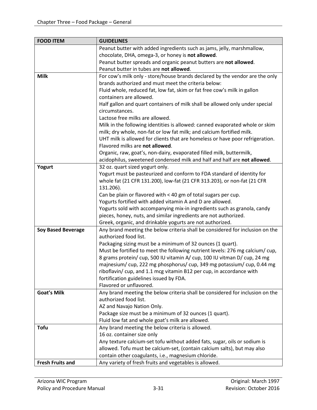| <b>FOOD ITEM</b>          | <b>GUIDELINES</b>                                                             |  |  |
|---------------------------|-------------------------------------------------------------------------------|--|--|
|                           | Peanut butter with added ingredients such as jams, jelly, marshmallow,        |  |  |
|                           | chocolate, DHA, omega-3, or honey is not allowed.                             |  |  |
|                           | Peanut butter spreads and organic peanut butters are not allowed.             |  |  |
|                           | Peanut butter in tubes are not allowed.                                       |  |  |
| <b>Milk</b>               | For cow's milk only - store/house brands declared by the vendor are the only  |  |  |
|                           | brands authorized and must meet the criteria below:                           |  |  |
|                           | Fluid whole, reduced fat, low fat, skim or fat free cow's milk in gallon      |  |  |
|                           | containers are allowed.                                                       |  |  |
|                           | Half gallon and quart containers of milk shall be allowed only under special  |  |  |
|                           | circumstances.                                                                |  |  |
|                           | Lactose free milks are allowed.                                               |  |  |
|                           | Milk in the following identities is allowed: canned evaporated whole or skim  |  |  |
|                           | milk; dry whole, non-fat or low fat milk; and calcium fortified milk.         |  |  |
|                           | UHT milk is allowed for clients that are homeless or have poor refrigeration. |  |  |
|                           | Flavored milks are not allowed.                                               |  |  |
|                           | Organic, raw, goat's, non-dairy, evaporated filled milk, buttermilk,          |  |  |
|                           | acidophilus, sweetened condensed milk and half and half are not allowed.      |  |  |
| Yogurt                    | 32 oz. quart sized yogurt only.                                               |  |  |
|                           | Yogurt must be pasteurized and conform to FDA standard of identity for        |  |  |
|                           | whole fat (21 CFR 131.200), low-fat (21 CFR 313.203), or non-fat (21 CFR      |  |  |
|                           | 131.206).                                                                     |  |  |
|                           | Can be plain or flavored with < 40 gm of total sugars per cup.                |  |  |
|                           | Yogurts fortified with added vitamin A and D are allowed.                     |  |  |
|                           | Yogurts sold with accompanying mix-in ingredients such as granola, candy      |  |  |
|                           | pieces, honey, nuts, and similar ingredients are not authorized.              |  |  |
|                           | Greek, organic, and drinkable yogurts are not authorized.                     |  |  |
| <b>Soy Based Beverage</b> | Any brand meeting the below criteria shall be considered for inclusion on the |  |  |
|                           | authorized food list.                                                         |  |  |
|                           | Packaging sizing must be a minimum of 32 ounces (1 quart).                    |  |  |
|                           | Must be fortified to meet the following nutrient levels: 276 mg calcium/cup,  |  |  |
|                           | 8 grams protein/ cup, 500 IU vitamin A/ cup, 100 IU vitman D/ cup, 24 mg      |  |  |
|                           | majnesium/ cup, 222 mg phosphorus/ cup, 349 mg potassium/ cup, 0.44 mg        |  |  |
|                           | riboflavin/ cup, and 1.1 mcg vitamin B12 per cup, in accordance with          |  |  |
|                           | fortification guidelines issued by FDA.                                       |  |  |
|                           | Flavored or unflavored.                                                       |  |  |
| <b>Goat's Milk</b>        | Any brand meeting the below criteria shall be considered for inclusion on the |  |  |
|                           | authorized food list.                                                         |  |  |
|                           | AZ and Navajo Nation Only.                                                    |  |  |
|                           | Package size must be a minimum of 32 ounces (1 quart).                        |  |  |
|                           | Fluid low fat and whole goat's milk are allowed.                              |  |  |
| <b>Tofu</b>               | Any brand meeting the below criteria is allowed.                              |  |  |
|                           | 16 oz. container size only                                                    |  |  |
|                           | Any texture calcium-set tofu without added fats, sugar, oils or sodium is     |  |  |
|                           | allowed. Tofu must be calcium-set, (contain calcium salts), but may also      |  |  |
|                           | contain other coagulants, i.e., magnesium chloride.                           |  |  |
| <b>Fresh Fruits and</b>   | Any variety of fresh fruits and vegetables is allowed.                        |  |  |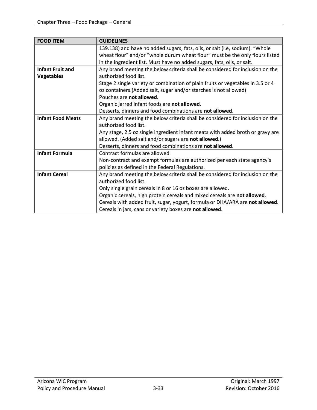| <b>FOOD ITEM</b>         | <b>GUIDELINES</b>                                                               |  |
|--------------------------|---------------------------------------------------------------------------------|--|
|                          | 139.138) and have no added sugars, fats, oils, or salt (i.e, sodium). "Whole    |  |
|                          | wheat flour" and/or "whole durum wheat flour" must be the only flours listed    |  |
|                          | in the ingredient list. Must have no added sugars, fats, oils, or salt.         |  |
| <b>Infant Fruit and</b>  | Any brand meeting the below criteria shall be considered for inclusion on the   |  |
| <b>Vegetables</b>        | authorized food list.                                                           |  |
|                          | Stage 2 single variety or combination of plain fruits or vegetables in 3.5 or 4 |  |
|                          | oz containers. (Added salt, sugar and/or starches is not allowed)               |  |
|                          | Pouches are not allowed.                                                        |  |
|                          | Organic jarred infant foods are not allowed.                                    |  |
|                          | Desserts, dinners and food combinations are not allowed.                        |  |
| <b>Infant Food Meats</b> | Any brand meeting the below criteria shall be considered for inclusion on the   |  |
|                          | authorized food list.                                                           |  |
|                          | Any stage, 2.5 oz single ingredient infant meats with added broth or gravy are  |  |
|                          | allowed. (Added salt and/or sugars are not allowed.)                            |  |
|                          | Desserts, dinners and food combinations are not allowed.                        |  |
| <b>Infant Formula</b>    | Contract formulas are allowed.                                                  |  |
|                          | Non-contract and exempt formulas are authorized per each state agency's         |  |
|                          | policies as defined in the Federal Regulations.                                 |  |
| <b>Infant Cereal</b>     | Any brand meeting the below criteria shall be considered for inclusion on the   |  |
|                          | authorized food list.                                                           |  |
|                          | Only single grain cereals in 8 or 16 oz boxes are allowed.                      |  |
|                          | Organic cereals, high protein cereals and mixed cereals are not allowed.        |  |
|                          | Cereals with added fruit, sugar, yogurt, formula or DHA/ARA are not allowed.    |  |
|                          | Cereals in jars, cans or variety boxes are not allowed.                         |  |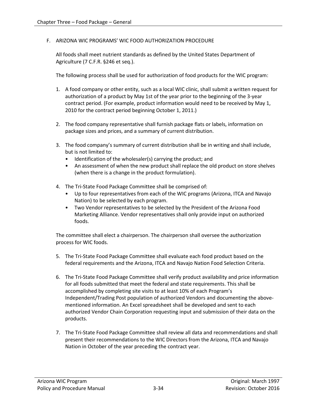#### F. ARIZONA WIC PROGRAMS' WIC FOOD AUTHORIZATION PROCEDURE

All foods shall meet nutrient standards as defined by the United States Department of Agriculture (7 C.F.R. §246 et seq.).

The following process shall be used for authorization of food products for the WIC program:

- 1. A food company or other entity, such as a local WIC clinic, shall submit a written request for authorization of a product by May 1st of the year prior to the beginning of the 3-year contract period. (For example, product information would need to be received by May 1, 2010 for the contract period beginning October 1, 2011.)
- 2. The food company representative shall furnish package flats or labels, information on package sizes and prices, and a summary of current distribution.
- 3. The food company's summary of current distribution shall be in writing and shall include, but is not limited to:
	- Identification of the wholesaler(s) carrying the product; and
	- An assessment of when the new product shall replace the old product on store shelves (when there is a change in the product formulation).
- 4. The Tri-State Food Package Committee shall be comprised of:
	- Up to four representatives from each of the WIC programs (Arizona, ITCA and Navajo Nation) to be selected by each program.
	- Two Vendor representatives to be selected by the President of the Arizona Food Marketing Alliance. Vendor representatives shall only provide input on authorized foods.

The committee shall elect a chairperson. The chairperson shall oversee the authorization process for WIC foods.

- 5. The Tri-State Food Package Committee shall evaluate each food product based on the federal requirements and the Arizona, ITCA and Navajo Nation Food Selection Criteria.
- 6. The Tri-State Food Package Committee shall verify product availability and price information for all foods submitted that meet the federal and state requirements. This shall be accomplished by completing site visits to at least 10% of each Program's Independent/Trading Post population of authorized Vendors and documenting the abovementioned information. An Excel spreadsheet shall be developed and sent to each authorized Vendor Chain Corporation requesting input and submission of their data on the products.
- 7. The Tri-State Food Package Committee shall review all data and recommendations and shall present their recommendations to the WIC Directors from the Arizona, ITCA and Navajo Nation in October of the year preceding the contract year.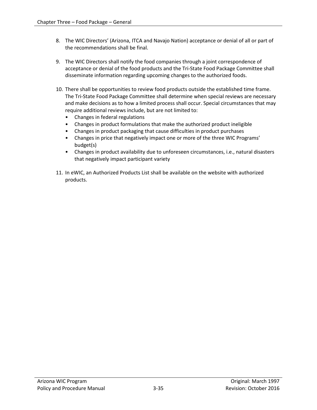- 8. The WIC Directors' (Arizona, ITCA and Navajo Nation) acceptance or denial of all or part of the recommendations shall be final.
- 9. The WIC Directors shall notify the food companies through a joint correspondence of acceptance or denial of the food products and the Tri-State Food Package Committee shall disseminate information regarding upcoming changes to the authorized foods.
- 10. There shall be opportunities to review food products outside the established time frame. The Tri-State Food Package Committee shall determine when special reviews are necessary and make decisions as to how a limited process shall occur. Special circumstances that may require additional reviews include, but are not limited to:
	- Changes in federal regulations
	- Changes in product formulations that make the authorized product ineligible
	- Changes in product packaging that cause difficulties in product purchases
	- Changes in price that negatively impact one or more of the three WIC Programs' budget(s)
	- Changes in product availability due to unforeseen circumstances, i.e., natural disasters that negatively impact participant variety
- 11. In eWIC, an Authorized Products List shall be available on the website with authorized products.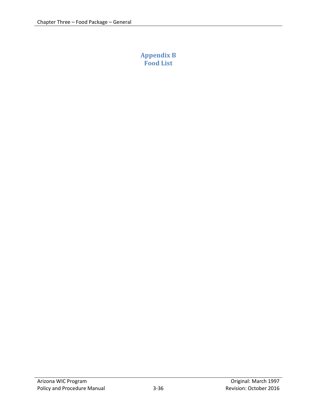# <span id="page-35-0"></span>**Appendix B Food List**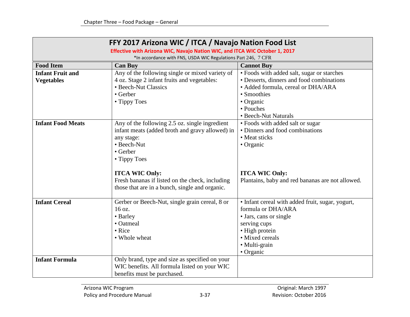| FFY 2017 Arizona WIC / ITCA / Navajo Nation Food List                       |                                                 |                                                  |
|-----------------------------------------------------------------------------|-------------------------------------------------|--------------------------------------------------|
| Effective with Arizona WIC, Navajo Nation WIC, and ITCA WIC October 1, 2017 |                                                 |                                                  |
| *In accordance with FNS, USDA WIC Regulations Part 246, 7 CFR               |                                                 |                                                  |
| <b>Food Item</b>                                                            | <b>Can Buy</b>                                  | <b>Cannot Buy</b>                                |
| <b>Infant Fruit and</b>                                                     | Any of the following single or mixed variety of | • Foods with added salt, sugar or starches       |
| <b>Vegetables</b>                                                           | 4 oz. Stage 2 infant fruits and vegetables:     | • Desserts, dinners and food combinations        |
|                                                                             | • Beech-Nut Classics                            | • Added formula, cereal or DHA/ARA               |
|                                                                             | • Gerber                                        | • Smoothies                                      |
|                                                                             | • Tippy Toes                                    | • Organic                                        |
|                                                                             |                                                 | • Pouches                                        |
|                                                                             |                                                 | • Beech-Nut Naturals                             |
| <b>Infant Food Meats</b>                                                    | Any of the following 2.5 oz. single ingredient  | • Foods with added salt or sugar                 |
|                                                                             | infant meats (added broth and gravy allowed) in | • Dinners and food combinations                  |
|                                                                             | any stage:                                      | • Meat sticks                                    |
|                                                                             | • Beech-Nut                                     | • Organic                                        |
|                                                                             | • Gerber                                        |                                                  |
|                                                                             | • Tippy Toes                                    |                                                  |
|                                                                             |                                                 |                                                  |
|                                                                             | <b>ITCA WIC Only:</b>                           | <b>ITCA WIC Only:</b>                            |
|                                                                             | Fresh bananas if listed on the check, including | Plantains, baby and red bananas are not allowed. |
|                                                                             | those that are in a bunch, single and organic.  |                                                  |
|                                                                             |                                                 |                                                  |
| <b>Infant Cereal</b>                                                        | Gerber or Beech-Nut, single grain cereal, 8 or  | • Infant cereal with added fruit, sugar, yogurt, |
|                                                                             | 16 oz.                                          | formula or DHA/ARA                               |
|                                                                             | • Barley                                        | • Jars, cans or single                           |
|                                                                             | • Oatmeal                                       | serving cups                                     |
|                                                                             | • Rice                                          | • High protein                                   |
|                                                                             | • Whole wheat                                   | · Mixed cereals                                  |
|                                                                             |                                                 | · Multi-grain                                    |
|                                                                             |                                                 | • Organic                                        |
| <b>Infant Formula</b>                                                       | Only brand, type and size as specified on your  |                                                  |
|                                                                             | WIC benefits. All formula listed on your WIC    |                                                  |
|                                                                             | benefits must be purchased.                     |                                                  |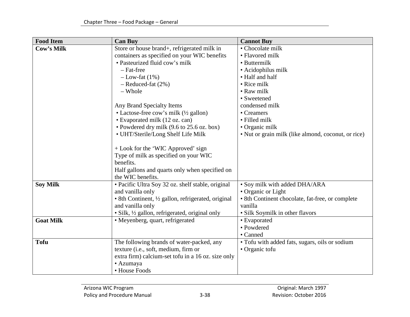| <b>Food Item</b>  | <b>Can Buy</b>                                      | <b>Cannot Buy</b>                                   |
|-------------------|-----------------------------------------------------|-----------------------------------------------------|
| <b>Cow's Milk</b> | Store or house brand+, refrigerated milk in         | • Chocolate milk                                    |
|                   | containers as specified on your WIC benefits        | • Flavored milk                                     |
|                   | · Pasteurized fluid cow's milk                      | • Buttermilk                                        |
|                   | - Fat-free                                          | · Acidophilus milk                                  |
|                   | $-Low-fat(1%)$                                      | • Half and half                                     |
|                   | $-$ Reduced-fat $(2%)$                              | • Rice milk                                         |
|                   | - Whole                                             | • Raw milk                                          |
|                   |                                                     | • Sweetened                                         |
|                   | Any Brand Specialty Items                           | condensed milk                                      |
|                   | • Lactose-free cow's milk (1/2 gallon)              | • Creamers                                          |
|                   | • Evaporated milk (12 oz. can)                      | • Filled milk                                       |
|                   | • Powdered dry milk (9.6 to 25.6 oz. box)           | • Organic milk                                      |
|                   | • UHT/Sterile/Long Shelf Life Milk                  | • Nut or grain milk (like almond, coconut, or rice) |
|                   | + Look for the 'WIC Approved' sign                  |                                                     |
|                   | Type of milk as specified on your WIC               |                                                     |
|                   | benefits.                                           |                                                     |
|                   | Half gallons and quarts only when specified on      |                                                     |
|                   | the WIC benefits.                                   |                                                     |
| <b>Soy Milk</b>   | · Pacific Ultra Soy 32 oz. shelf stable, original   | • Soy milk with added DHA/ARA                       |
|                   | and vanilla only                                    | • Organic or Light                                  |
|                   | • 8th Continent, 1/2 gallon, refrigerated, original | • 8th Continent chocolate, fat-free, or complete    |
|                   | and vanilla only                                    | vanilla                                             |
|                   | • Silk, 1/2 gallon, refrigerated, original only     | • Silk Soymilk in other flavors                     |
| <b>Goat Milk</b>  | • Meyenberg, quart, refrigerated                    | • Evaporated                                        |
|                   |                                                     | • Powdered                                          |
|                   |                                                     | • Canned                                            |
| <b>Tofu</b>       | The following brands of water-packed, any           | • Tofu with added fats, sugars, oils or sodium      |
|                   | texture (i.e., soft, medium, firm or                | • Organic tofu                                      |
|                   | extra firm) calcium-set tofu in a 16 oz. size only  |                                                     |
|                   | • Azumaya                                           |                                                     |
|                   | • House Foods                                       |                                                     |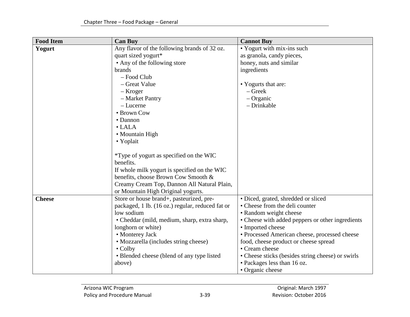| <b>Food Item</b> | <b>Can Buy</b>                                   | <b>Cannot Buy</b>                                 |
|------------------|--------------------------------------------------|---------------------------------------------------|
| Yogurt           | Any flavor of the following brands of 32 oz.     | • Yogurt with mix-ins such                        |
|                  | quart sized yogurt*                              | as granola, candy pieces,                         |
|                  | • Any of the following store                     | honey, nuts and similar                           |
|                  | brands                                           | ingredients                                       |
|                  | - Food Club                                      |                                                   |
|                  | - Great Value                                    | • Yogurts that are:                               |
|                  | – Kroger                                         | $-$ Greek                                         |
|                  | - Market Pantry                                  | $-$ Organic                                       |
|                  | - Lucerne                                        | - Drinkable                                       |
|                  | • Brown Cow                                      |                                                   |
|                  | • Dannon                                         |                                                   |
|                  | $\bullet$ LALA                                   |                                                   |
|                  | • Mountain High                                  |                                                   |
|                  | • Yoplait                                        |                                                   |
|                  |                                                  |                                                   |
|                  | *Type of yogurt as specified on the WIC          |                                                   |
|                  | benefits.                                        |                                                   |
|                  | If whole milk yogurt is specified on the WIC     |                                                   |
|                  | benefits, choose Brown Cow Smooth &              |                                                   |
|                  | Creamy Cream Top, Dannon All Natural Plain,      |                                                   |
|                  | or Mountain High Original yogurts.               |                                                   |
| <b>Cheese</b>    | Store or house brand+, pasteurized, pre-         | • Diced, grated, shredded or sliced               |
|                  | packaged, 1 lb. (16 oz.) regular, reduced fat or | • Cheese from the deli counter                    |
|                  | low sodium                                       | • Random weight cheese                            |
|                  | • Cheddar (mild, medium, sharp, extra sharp,     | • Cheese with added peppers or other ingredients  |
|                  | longhorn or white)                               | • Imported cheese                                 |
|                  | • Monterey Jack                                  | · Processed American cheese, processed cheese     |
|                  | • Mozzarella (includes string cheese)            | food, cheese product or cheese spread             |
|                  | $\bullet$ Colby                                  | • Cream cheese                                    |
|                  | • Blended cheese (blend of any type listed       | • Cheese sticks (besides string cheese) or swirls |
|                  | above)                                           | • Packages less than 16 oz.                       |
|                  |                                                  | • Organic cheese                                  |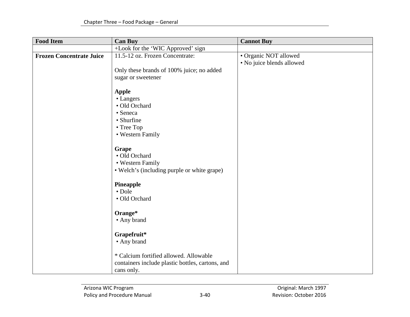| <b>Food Item</b>                | <b>Can Buy</b>                                                                                           | <b>Cannot Buy</b>                                  |
|---------------------------------|----------------------------------------------------------------------------------------------------------|----------------------------------------------------|
|                                 | +Look for the 'WIC Approved' sign                                                                        |                                                    |
| <b>Frozen Concentrate Juice</b> | 11.5-12 oz. Frozen Concentrate:                                                                          | • Organic NOT allowed<br>• No juice blends allowed |
|                                 | Only these brands of 100% juice; no added<br>sugar or sweetener                                          |                                                    |
|                                 |                                                                                                          |                                                    |
|                                 | <b>Apple</b><br>$\bullet$ Langers<br>· Old Orchard<br>• Seneca<br>• Shurfine                             |                                                    |
|                                 | • Tree Top<br>• Western Family                                                                           |                                                    |
|                                 | <b>Grape</b><br>• Old Orchard<br>• Western Family<br>• Welch's (including purple or white grape)         |                                                    |
|                                 | Pineapple<br>• Dole<br>· Old Orchard                                                                     |                                                    |
|                                 | Orange*<br>• Any brand                                                                                   |                                                    |
|                                 | Grapefruit*<br>• Any brand                                                                               |                                                    |
|                                 | * Calcium fortified allowed. Allowable<br>containers include plastic bottles, cartons, and<br>cans only. |                                                    |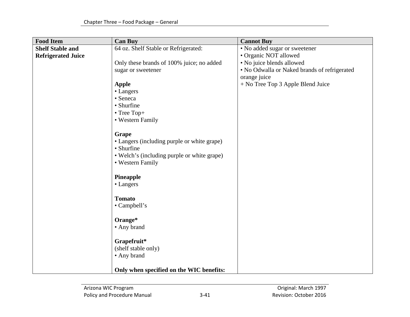| <b>Food Item</b>          | <b>Can Buy</b>                              | <b>Cannot Buy</b>                            |
|---------------------------|---------------------------------------------|----------------------------------------------|
| <b>Shelf Stable and</b>   | 64 oz. Shelf Stable or Refrigerated:        | • No added sugar or sweetener                |
| <b>Refrigerated Juice</b> |                                             | · Organic NOT allowed                        |
|                           | Only these brands of 100% juice; no added   | • No juice blends allowed                    |
|                           | sugar or sweetener                          | • No Odwalla or Naked brands of refrigerated |
|                           |                                             | orange juice                                 |
|                           | <b>Apple</b>                                | + No Tree Top 3 Apple Blend Juice            |
|                           | • Langers                                   |                                              |
|                           | • Seneca                                    |                                              |
|                           | • Shurfine                                  |                                              |
|                           | • Tree Top+                                 |                                              |
|                           | • Western Family                            |                                              |
|                           |                                             |                                              |
|                           | Grape                                       |                                              |
|                           | • Langers (including purple or white grape) |                                              |
|                           | • Shurfine                                  |                                              |
|                           | • Welch's (including purple or white grape) |                                              |
|                           | • Western Family                            |                                              |
|                           |                                             |                                              |
|                           | Pineapple                                   |                                              |
|                           | • Langers                                   |                                              |
|                           |                                             |                                              |
|                           | <b>Tomato</b>                               |                                              |
|                           | • Campbell's                                |                                              |
|                           | Orange*                                     |                                              |
|                           | • Any brand                                 |                                              |
|                           |                                             |                                              |
|                           | Grapefruit*                                 |                                              |
|                           | (shelf stable only)                         |                                              |
|                           | • Any brand                                 |                                              |
|                           |                                             |                                              |
|                           | Only when specified on the WIC benefits:    |                                              |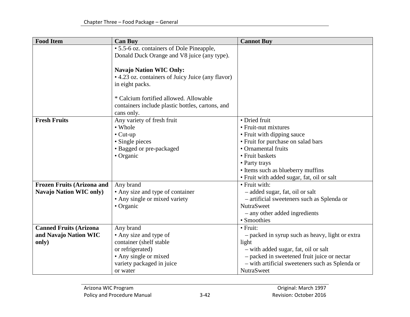| <b>Food Item</b>                  | <b>Can Buy</b>                                    | <b>Cannot Buy</b>                                               |
|-----------------------------------|---------------------------------------------------|-----------------------------------------------------------------|
|                                   | • 5.5-6 oz. containers of Dole Pineapple,         |                                                                 |
|                                   | Donald Duck Orange and V8 juice (any type).       |                                                                 |
|                                   |                                                   |                                                                 |
|                                   | <b>Navajo Nation WIC Only:</b>                    |                                                                 |
|                                   | • 4.23 oz. containers of Juicy Juice (any flavor) |                                                                 |
|                                   | in eight packs.                                   |                                                                 |
|                                   |                                                   |                                                                 |
|                                   | * Calcium fortified allowed. Allowable            |                                                                 |
|                                   | containers include plastic bottles, cartons, and  |                                                                 |
|                                   | cans only.                                        |                                                                 |
| <b>Fresh Fruits</b>               | Any variety of fresh fruit                        | • Dried fruit                                                   |
|                                   | • Whole                                           | • Fruit-nut mixtures                                            |
|                                   | $\bullet$ Cut-up                                  | • Fruit with dipping sauce                                      |
|                                   | • Single pieces                                   | • Fruit for purchase on salad bars                              |
|                                   | · Bagged or pre-packaged                          | • Ornamental fruits                                             |
|                                   | • Organic                                         | • Fruit baskets                                                 |
|                                   |                                                   | • Party trays                                                   |
|                                   |                                                   | • Items such as blueberry muffins                               |
|                                   |                                                   | • Fruit with added sugar, fat, oil or salt<br>• Fruit with:     |
| <b>Frozen Fruits (Arizona and</b> | Any brand                                         |                                                                 |
| <b>Navajo Nation WIC only)</b>    | • Any size and type of container                  | - added sugar, fat, oil or salt                                 |
|                                   | • Any single or mixed variety<br>• Organic        | - artificial sweeteners such as Splenda or<br><b>NutraSweet</b> |
|                                   |                                                   | - any other added ingredients                                   |
|                                   |                                                   | • Smoothies                                                     |
| <b>Canned Fruits (Arizona</b>     | Any brand                                         | • Fruit:                                                        |
| and Navajo Nation WIC             | • Any size and type of                            | - packed in syrup such as heavy, light or extra                 |
| only)                             | container (shelf stable                           | light                                                           |
|                                   | or refrigerated)                                  | - with added sugar, fat, oil or salt                            |
|                                   | • Any single or mixed                             | - packed in sweetened fruit juice or nectar                     |
|                                   | variety packaged in juice                         | - with artificial sweeteners such as Splenda or                 |
|                                   | or water                                          | <b>NutraSweet</b>                                               |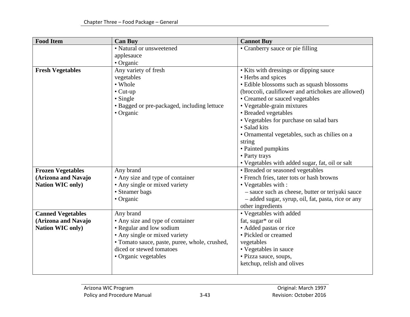| <b>Food Item</b>         | <b>Can Buy</b>                                | <b>Cannot Buy</b>                                  |
|--------------------------|-----------------------------------------------|----------------------------------------------------|
|                          | • Natural or unsweetened                      | • Cranberry sauce or pie filling                   |
|                          | applesauce                                    |                                                    |
|                          | • Organic                                     |                                                    |
| <b>Fresh Vegetables</b>  | Any variety of fresh                          | • Kits with dressings or dipping sauce             |
|                          | vegetables                                    | • Herbs and spices                                 |
|                          | • Whole                                       | · Edible blossoms such as squash blossoms          |
|                          | $\bullet$ Cut-up                              | (broccoli, cauliflower and artichokes are allowed) |
|                          | • Single                                      | • Creamed or sauced vegetables                     |
|                          | • Bagged or pre-packaged, including lettuce   | • Vegetable-grain mixtures                         |
|                          | • Organic                                     | • Breaded vegetables                               |
|                          |                                               | • Vegetables for purchase on salad bars            |
|                          |                                               | • Salad kits                                       |
|                          |                                               | · Ornamental vegetables, such as chilies on a      |
|                          |                                               | string                                             |
|                          |                                               | • Painted pumpkins                                 |
|                          |                                               | • Party trays                                      |
|                          |                                               | • Vegetables with added sugar, fat, oil or salt    |
| <b>Frozen Vegetables</b> | Any brand                                     | • Breaded or seasoned vegetables                   |
| (Arizona and Navajo      | • Any size and type of container              | • French fries, tater tots or hash browns          |
| <b>Nation WIC only)</b>  | • Any single or mixed variety                 | • Vegetables with :                                |
|                          | • Steamer bags                                | - sauce such as cheese, butter or teriyaki sauce   |
|                          | • Organic                                     | - added sugar, syrup, oil, fat, pasta, rice or any |
|                          |                                               | other ingredients                                  |
| <b>Canned Vegetables</b> | Any brand                                     | • Vegetables with added                            |
| (Arizona and Navajo      | • Any size and type of container              | fat, sugar* or oil                                 |
| <b>Nation WIC only)</b>  | • Regular and low sodium                      | • Added pastas or rice                             |
|                          | • Any single or mixed variety                 | • Pickled or creamed                               |
|                          | · Tomato sauce, paste, puree, whole, crushed, | vegetables                                         |
|                          | diced or stewed tomatoes                      | • Vegetables in sauce                              |
|                          | • Organic vegetables                          | • Pizza sauce, soups,                              |
|                          |                                               | ketchup, relish and olives                         |
|                          |                                               |                                                    |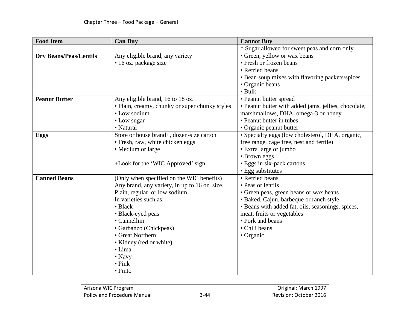| <b>Food Item</b>              | <b>Can Buy</b>                                 | <b>Cannot Buy</b>                                    |
|-------------------------------|------------------------------------------------|------------------------------------------------------|
|                               |                                                | * Sugar allowed for sweet peas and corn only.        |
| <b>Dry Beans/Peas/Lentils</b> | Any eligible brand, any variety                | • Green, yellow or wax beans                         |
|                               | • 16 oz. package size                          | • Fresh or frozen beans                              |
|                               |                                                | • Refried beans                                      |
|                               |                                                | • Bean soup mixes with flavoring packets/spices      |
|                               |                                                | • Organic beans                                      |
|                               |                                                | $\bullet$ Bulk                                       |
| <b>Peanut Butter</b>          | Any eligible brand, 16 to 18 oz.               | • Peanut butter spread                               |
|                               | · Plain, creamy, chunky or super chunky styles | • Peanut butter with added jams, jellies, chocolate, |
|                               | • Low sodium                                   | marshmallows, DHA, omega-3 or honey                  |
|                               | • Low sugar                                    | • Peanut butter in tubes                             |
|                               | • Natural                                      | • Organic peanut butter                              |
| <b>Eggs</b>                   | Store or house brand+, dozen-size carton       | · Specialty eggs (low cholesterol, DHA, organic,     |
|                               | • Fresh, raw, white chicken eggs               | free range, cage free, nest and fertile)             |
|                               | • Medium or large                              | • Extra large or jumbo                               |
|                               |                                                | • Brown eggs                                         |
|                               | +Look for the 'WIC Approved' sign              | • Eggs in six-pack cartons                           |
|                               |                                                | • Egg substitutes                                    |
| <b>Canned Beans</b>           | (Only when specified on the WIC benefits)      | • Refried beans                                      |
|                               | Any brand, any variety, in up to 16 oz. size.  | • Peas or lentils                                    |
|                               | Plain, regular, or low sodium.                 | • Green peas, green beans or wax beans               |
|                               | In varieties such as:                          | · Baked, Cajun, barbeque or ranch style              |
|                               | • Black                                        | • Beans with added fat, oils, seasonings, spices,    |
|                               | · Black-eyed peas                              | meat, fruits or vegetables                           |
|                               | • Cannellini                                   | • Pork and beans                                     |
|                               | · Garbanzo (Chickpeas)                         | • Chili beans                                        |
|                               | • Great Northern                               | • Organic                                            |
|                               | • Kidney (red or white)                        |                                                      |
|                               | $\bullet$ Lima                                 |                                                      |
|                               | $\bullet$ Navy                                 |                                                      |
|                               | $\bullet$ Pink                                 |                                                      |
|                               | $\bullet$ Pinto                                |                                                      |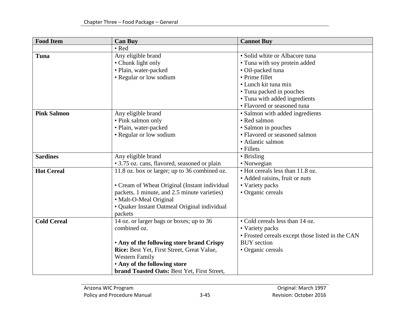| <b>Food Item</b>   | <b>Can Buy</b>                                | <b>Cannot Buy</b>                                |
|--------------------|-----------------------------------------------|--------------------------------------------------|
|                    | • Red                                         |                                                  |
| Tuna               | Any eligible brand                            | • Solid white or Albacore tuna                   |
|                    | • Chunk light only                            | • Tuna with soy protein added                    |
|                    | · Plain, water-packed                         | · Oil-packed tuna                                |
|                    | • Regular or low sodium                       | • Prime fillet                                   |
|                    |                                               | • Lunch kit tuna mix                             |
|                    |                                               | • Tuna packed in pouches                         |
|                    |                                               | • Tuna with added ingredients                    |
|                    |                                               | • Flavored or seasoned tuna                      |
| <b>Pink Salmon</b> | Any eligible brand                            | · Salmon with added ingredients                  |
|                    | • Pink salmon only                            | • Red salmon                                     |
|                    | · Plain, water-packed                         | • Salmon in pouches                              |
|                    | • Regular or low sodium                       | • Flavored or seasoned salmon                    |
|                    |                                               | • Atlantic salmon                                |
|                    |                                               | • Fillets                                        |
| <b>Sardines</b>    | Any eligible brand                            | • Brisling                                       |
|                    | • 3.75 oz. cans, flavored, seasoned or plain  | • Norwegian                                      |
| <b>Hot Cereal</b>  | 11.8 oz. box or larger; up to 36 combined oz. | • Hot cereals less than 11.8 oz.                 |
|                    |                                               | • Added raisins, fruit or nuts                   |
|                    | • Cream of Wheat Original (Instant individual | • Variety packs                                  |
|                    | packets, 1 minute, and 2.5 minute varieties)  | • Organic cereals                                |
|                    | • Malt-O-Meal Original                        |                                                  |
|                    | • Quaker Instant Oatmeal Original individual  |                                                  |
|                    | packets                                       |                                                  |
| <b>Cold Cereal</b> | 14 oz. or larger bags or boxes; up to 36      | • Cold cereals less than 14 oz.                  |
|                    | combined oz.                                  | • Variety packs                                  |
|                    |                                               | • Frosted cereals except those listed in the CAN |
|                    | • Any of the following store brand Crispy     | <b>BUY</b> section                               |
|                    | Rice: Best Yet, First Street, Great Value,    | • Organic cereals                                |
|                    | <b>Western Family</b>                         |                                                  |
|                    | . Any of the following store                  |                                                  |
|                    | brand Toasted Oats: Best Yet, First Street,   |                                                  |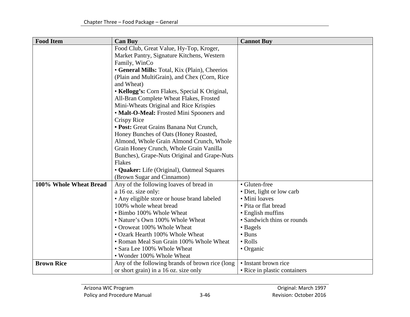| <b>Food Item</b>       | <b>Can Buy</b>                                  | <b>Cannot Buy</b>            |
|------------------------|-------------------------------------------------|------------------------------|
|                        | Food Club, Great Value, Hy-Top, Kroger,         |                              |
|                        | Market Pantry, Signature Kitchens, Western      |                              |
|                        | Family, WinCo                                   |                              |
|                        | • General Mills: Total, Kix (Plain), Cheerios   |                              |
|                        | (Plain and MultiGrain), and Chex (Corn, Rice    |                              |
|                        | and Wheat)                                      |                              |
|                        | • Kellogg's: Corn Flakes, Special K Original,   |                              |
|                        | All-Bran Complete Wheat Flakes, Frosted         |                              |
|                        | Mini-Wheats Original and Rice Krispies          |                              |
|                        | • Malt-O-Meal: Frosted Mini Spooners and        |                              |
|                        | Crispy Rice                                     |                              |
|                        | • Post: Great Grains Banana Nut Crunch,         |                              |
|                        | Honey Bunches of Oats (Honey Roasted,           |                              |
|                        | Almond, Whole Grain Almond Crunch, Whole        |                              |
|                        | Grain Honey Crunch, Whole Grain Vanilla         |                              |
|                        | Bunches), Grape-Nuts Original and Grape-Nuts    |                              |
|                        | Flakes                                          |                              |
|                        | • Quaker: Life (Original), Oatmeal Squares      |                              |
|                        | (Brown Sugar and Cinnamon)                      |                              |
| 100% Whole Wheat Bread | Any of the following loaves of bread in         | • Gluten-free                |
|                        | a 16 oz. size only:                             | • Diet, light or low carb    |
|                        | • Any eligible store or house brand labeled     | • Mini loaves                |
|                        | 100% whole wheat bread                          | • Pita or flat bread         |
|                        | • Bimbo 100% Whole Wheat                        | • English muffins            |
|                        | • Nature's Own 100% Whole Wheat                 | • Sandwich thins or rounds   |
|                        | • Oroweat 100% Whole Wheat                      | • Bagels                     |
|                        | • Ozark Hearth 100% Whole Wheat                 | • Buns                       |
|                        | • Roman Meal Sun Grain 100% Whole Wheat         | • Rolls                      |
|                        | • Sara Lee 100% Whole Wheat                     | • Organic                    |
|                        | • Wonder 100% Whole Wheat                       |                              |
| <b>Brown Rice</b>      | Any of the following brands of brown rice (long | • Instant brown rice         |
|                        | or short grain) in a 16 oz. size only           | • Rice in plastic containers |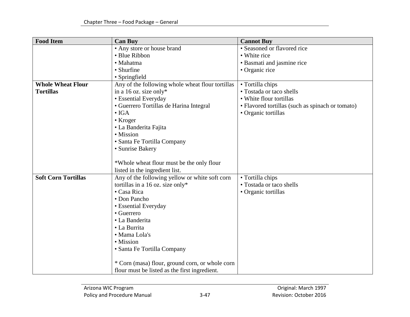| <b>Food Item</b>           | <b>Can Buy</b>                                   | <b>Cannot Buy</b>                                |
|----------------------------|--------------------------------------------------|--------------------------------------------------|
|                            | • Any store or house brand                       | • Seasoned or flavored rice                      |
|                            | • Blue Ribbon                                    | • White rice                                     |
|                            | • Mahatma                                        | • Basmati and jasmine rice                       |
|                            | • Shurfine                                       | • Organic rice                                   |
|                            | • Springfield                                    |                                                  |
| <b>Whole Wheat Flour</b>   | Any of the following whole wheat flour tortillas | • Tortilla chips                                 |
| <b>Tortillas</b>           | in a 16 oz. size only*                           | • Tostada or taco shells                         |
|                            | • Essential Everyday                             | • White flour tortillas                          |
|                            | • Guerrero Tortillas de Harina Integral          | · Flavored tortillas (such as spinach or tomato) |
|                            | $\bullet$ IGA                                    | • Organic tortillas                              |
|                            | • Kroger                                         |                                                  |
|                            | • La Banderita Fajita                            |                                                  |
|                            | • Mission                                        |                                                  |
|                            | · Santa Fe Tortilla Company                      |                                                  |
|                            | • Sunrise Bakery                                 |                                                  |
|                            |                                                  |                                                  |
|                            | *Whole wheat flour must be the only flour        |                                                  |
|                            | listed in the ingredient list.                   |                                                  |
| <b>Soft Corn Tortillas</b> | Any of the following yellow or white soft corn   | • Tortilla chips                                 |
|                            | tortillas in a 16 oz. size only*                 | • Tostada or taco shells                         |
|                            | • Casa Rica                                      | • Organic tortillas                              |
|                            | • Don Pancho                                     |                                                  |
|                            | • Essential Everyday                             |                                                  |
|                            | • Guerrero                                       |                                                  |
|                            | • La Banderita                                   |                                                  |
|                            | • La Burrita                                     |                                                  |
|                            | · Mama Lola's                                    |                                                  |
|                            | • Mission                                        |                                                  |
|                            | · Santa Fe Tortilla Company                      |                                                  |
|                            | * Corn (masa) flour, ground corn, or whole corn  |                                                  |
|                            |                                                  |                                                  |
|                            | flour must be listed as the first ingredient.    |                                                  |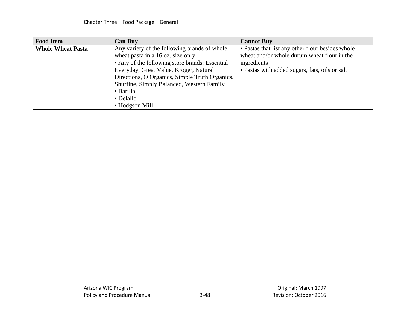| <b>Food Item</b>         | <b>Can Buy</b>                                 | <b>Cannot Buy</b>                                |
|--------------------------|------------------------------------------------|--------------------------------------------------|
| <b>Whole Wheat Pasta</b> | Any variety of the following brands of whole   | • Pastas that list any other flour besides whole |
|                          | wheat pasta in a 16 oz. size only              | wheat and/or whole durum wheat flour in the      |
|                          | • Any of the following store brands: Essential | ingredients                                      |
|                          | Everyday, Great Value, Kroger, Natural         | • Pastas with added sugars, fats, oils or salt   |
|                          | Directions, O Organics, Simple Truth Organics, |                                                  |
|                          | Shurfine, Simply Balanced, Western Family      |                                                  |
|                          | • Barilla                                      |                                                  |
|                          | • Delallo                                      |                                                  |
|                          | • Hodgson Mill                                 |                                                  |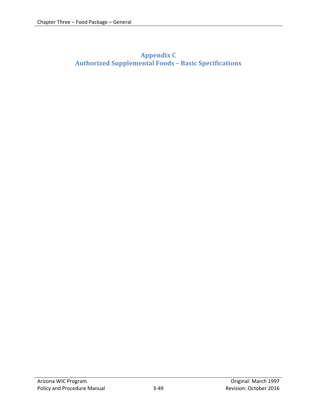# <span id="page-48-0"></span>**Appendix C Authorized Supplemental Foods – Basic Specifications**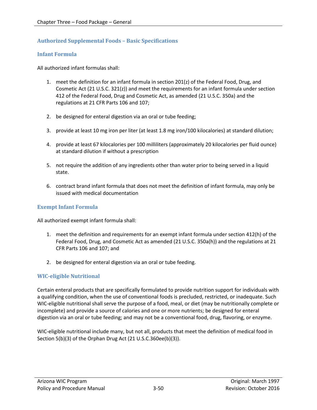#### <span id="page-49-0"></span>**Authorized Supplemental Foods – Basic Specifications**

#### <span id="page-49-1"></span>**Infant Formula**

All authorized infant formulas shall:

- 1. meet the definition for an infant formula in section 201(z) of the Federal Food, Drug, and Cosmetic Act (21 U.S.C. 321(z)) and meet the requirements for an infant formula under section 412 of the Federal Food, Drug and Cosmetic Act, as amended (21 U.S.C. 350a) and the regulations at 21 CFR Parts 106 and 107;
- 2. be designed for enteral digestion via an oral or tube feeding;
- 3. provide at least 10 mg iron per liter (at least 1.8 mg iron/100 kilocalories) at standard dilution;
- 4. provide at least 67 kilocalories per 100 milliliters (approximately 20 kilocalories per fluid ounce) at standard dilution if without a prescription
- 5. not require the addition of any ingredients other than water prior to being served in a liquid state.
- 6. contract brand infant formula that does not meet the definition of infant formula, may only be issued with medical documentation

#### <span id="page-49-2"></span>**Exempt Infant Formula**

All authorized exempt infant formula shall:

- 1. meet the definition and requirements for an exempt infant formula under section 412(h) of the Federal Food, Drug, and Cosmetic Act as amended (21 U.S.C. 350a(h)) and the regulations at 21 CFR Parts 106 and 107; and
- 2. be designed for enteral digestion via an oral or tube feeding.

#### <span id="page-49-3"></span>**WIC-eligible Nutritional**

Certain enteral products that are specifically formulated to provide nutrition support for individuals with a qualifying condition, when the use of conventional foods is precluded, restricted, or inadequate. Such WIC-eligible nutritional shall serve the purpose of a food, meal, or diet (may be nutritionally complete or incomplete) and provide a source of calories and one or more nutrients; be designed for enteral digestion via an oral or tube feeding; and may not be a conventional food, drug, flavoring, or enzyme.

WIC-eligible nutritional include many, but not all, products that meet the definition of medical food in Section 5(b)(3) of the Orphan Drug Act (21 U.S.C.360ee(b)(3)).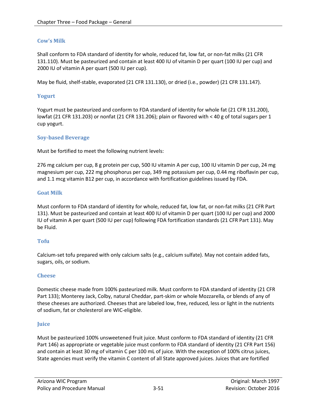#### <span id="page-50-0"></span>**Cow's Milk**

Shall conform to FDA standard of identity for whole, reduced fat, low fat, or non-fat milks (21 CFR 131.110). Must be pasteurized and contain at least 400 IU of vitamin D per quart (100 IU per cup) and 2000 IU of vitamin A per quart (500 IU per cup).

May be fluid, shelf-stable, evaporated (21 CFR 131.130), or dried (i.e., powder) (21 CFR 131.147).

#### <span id="page-50-1"></span>**Yogurt**

Yogurt must be pasteurized and conform to FDA standard of identity for whole fat (21 CFR 131.200), lowfat (21 CFR 131.203) or nonfat (21 CFR 131.206); plain or flavored with < 40 g of total sugars per 1 cup yogurt.

#### <span id="page-50-2"></span>**Soy-based Beverage**

Must be fortified to meet the following nutrient levels:

276 mg calcium per cup, 8 g protein per cup, 500 IU vitamin A per cup, 100 IU vitamin D per cup, 24 mg magnesium per cup, 222 mg phosphorus per cup, 349 mg potassium per cup, 0.44 mg riboflavin per cup, and 1.1 mcg vitamin B12 per cup, in accordance with fortification guidelines issued by FDA.

#### <span id="page-50-3"></span>**Goat Milk**

Must conform to FDA standard of identity for whole, reduced fat, low fat, or non-fat milks (21 CFR Part 131). Must be pasteurized and contain at least 400 IU of vitamin D per quart (100 IU per cup) and 2000 IU of vitamin A per quart (500 IU per cup) following FDA fortification standards (21 CFR Part 131). May be Fluid.

#### <span id="page-50-4"></span>**Tofu**

Calcium-set tofu prepared with only calcium salts (e.g., calcium sulfate). May not contain added fats, sugars, oils, or sodium.

#### <span id="page-50-5"></span>**Cheese**

Domestic cheese made from 100% pasteurized milk. Must conform to FDA standard of identity (21 CFR Part 133); Monterey Jack, Colby, natural Cheddar, part-skim or whole Mozzarella, or blends of any of these cheeses are authorized. Cheeses that are labeled low, free, reduced, less or light in the nutrients of sodium, fat or cholesterol are WIC-eligible.

#### <span id="page-50-6"></span>**Juice**

Must be pasteurized 100% unsweetened fruit juice. Must conform to FDA standard of identity (21 CFR Part 146) as appropriate or vegetable juice must conform to FDA standard of identity (21 CFR Part 156) and contain at least 30 mg of vitamin C per 100 mL of juice. With the exception of 100% citrus juices, State agencies must verify the vitamin C content of all State approved juices. Juices that are fortified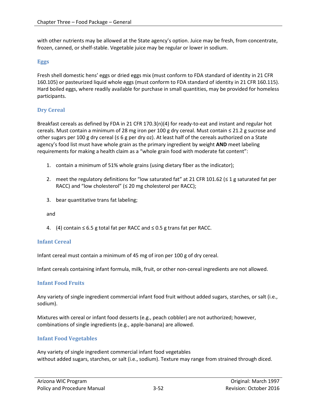with other nutrients may be allowed at the State agency's option. Juice may be fresh, from concentrate, frozen, canned, or shelf-stable. Vegetable juice may be regular or lower in sodium.

#### <span id="page-51-0"></span>**Eggs**

Fresh shell domestic hens' eggs or dried eggs mix (must conform to FDA standard of identity in 21 CFR 160.105) or pasteurized liquid whole eggs (must conform to FDA standard of identity in 21 CFR 160.115). Hard boiled eggs, where readily available for purchase in small quantities, may be provided for homeless participants.

#### <span id="page-51-1"></span>**Dry Cereal**

Breakfast cereals as defined by FDA in 21 CFR 170.3(n)(4) for ready-to-eat and instant and regular hot cereals. Must contain a minimum of 28 mg iron per 100 g dry cereal. Must contain ≤ 21.2 g sucrose and other sugars per 100 g dry cereal ( $\leq 6$  g per dry oz). At least half of the cereals authorized on a State agency's food list must have whole grain as the primary ingredient by weight **AND** meet labeling requirements for making a health claim as a "whole grain food with moderate fat content":

- 1. contain a minimum of 51% whole grains (using dietary fiber as the indicator);
- 2. meet the regulatory definitions for "low saturated fat" at 21 CFR 101.62 ( $\leq$  1 g saturated fat per RACC) and "low cholesterol" ( $\leq$  20 mg cholesterol per RACC);
- 3. bear quantitative trans fat labeling;

and

4. (4) contain ≤ 6.5 g total fat per RACC and ≤ 0.5 g trans fat per RACC.

#### <span id="page-51-2"></span>**Infant Cereal**

Infant cereal must contain a minimum of 45 mg of iron per 100 g of dry cereal.

Infant cereals containing infant formula, milk, fruit, or other non-cereal ingredients are not allowed.

#### <span id="page-51-3"></span>**Infant Food Fruits**

Any variety of single ingredient commercial infant food fruit without added sugars, starches, or salt (i.e., sodium).

Mixtures with cereal or infant food desserts (e.g., peach cobbler) are not authorized; however, combinations of single ingredients (e.g., apple-banana) are allowed.

#### <span id="page-51-4"></span>**Infant Food Vegetables**

Any variety of single ingredient commercial infant food vegetables without added sugars, starches, or salt (i.e., sodium). Texture may range from strained through diced.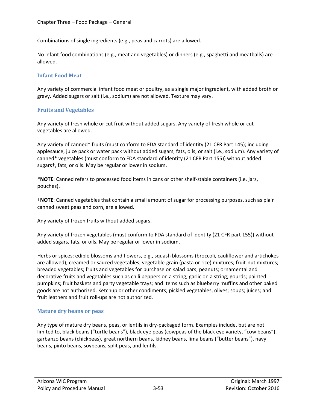Combinations of single ingredients (e.g., peas and carrots) are allowed.

No infant food combinations (e.g., meat and vegetables) or dinners (e.g., spaghetti and meatballs) are allowed.

#### <span id="page-52-0"></span>**Infant Food Meat**

Any variety of commercial infant food meat or poultry, as a single major ingredient, with added broth or gravy. Added sugars or salt (i.e., sodium) are not allowed. Texture may vary.

#### <span id="page-52-1"></span>**Fruits and Vegetables**

Any variety of fresh whole or cut fruit without added sugars. Any variety of fresh whole or cut vegetables are allowed.

Any variety of canned\* fruits (must conform to FDA standard of identity (21 CFR Part 145); including applesauce, juice pack or water pack without added sugars, fats, oils, or salt (i.e., sodium). Any variety of canned\* vegetables (must conform to FDA standard of identity (21 CFR Part 155)) without added sugars†, fats, or oils. May be regular or lower in sodium.

\***NOTE**: Canned refers to processed food items in cans or other shelf-stable containers (i.e. jars, pouches).

†**NOTE**: Canned vegetables that contain a small amount of sugar for processing purposes, such as plain canned sweet peas and corn, are allowed.

Any variety of frozen fruits without added sugars.

Any variety of frozen vegetables (must conform to FDA standard of identity (21 CFR part 155)) without added sugars, fats, or oils. May be regular or lower in sodium.

Herbs or spices; edible blossoms and flowers, e.g., squash blossoms (broccoli, cauliflower and artichokes are allowed); creamed or sauced vegetables; vegetable-grain (pasta or rice) mixtures; fruit-nut mixtures; breaded vegetables; fruits and vegetables for purchase on salad bars; peanuts; ornamental and decorative fruits and vegetables such as chili peppers on a string; garlic on a string; gourds; painted pumpkins; fruit baskets and party vegetable trays; and items such as blueberry muffins and other baked goods are not authorized. Ketchup or other condiments; pickled vegetables, olives; soups; juices; and fruit leathers and fruit roll-ups are not authorized.

#### <span id="page-52-2"></span>**Mature dry beans or peas**

Any type of mature dry beans, peas, or lentils in dry-packaged form. Examples include, but are not limited to, black beans ("turtle beans"), black eye peas (cowpeas of the black eye variety, "cow beans"), garbanzo beans (chickpeas), great northern beans, kidney beans, lima beans ("butter beans"), navy beans, pinto beans, soybeans, split peas, and lentils.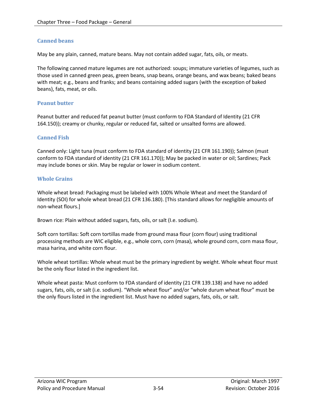#### <span id="page-53-0"></span>**Canned beans**

May be any plain, canned, mature beans. May not contain added sugar, fats, oils, or meats.

The following canned mature legumes are not authorized: soups; immature varieties of legumes, such as those used in canned green peas, green beans, snap beans, orange beans, and wax beans; baked beans with meat; e.g., beans and franks; and beans containing added sugars (with the exception of baked beans), fats, meat, or oils.

#### <span id="page-53-1"></span>**Peanut butter**

Peanut butter and reduced fat peanut butter (must conform to FDA Standard of Identity (21 CFR 164.150)); creamy or chunky, regular or reduced fat, salted or unsalted forms are allowed.

#### <span id="page-53-2"></span>**Canned Fish**

Canned only: Light tuna (must conform to FDA standard of identity (21 CFR 161.190)); Salmon (must conform to FDA standard of identity (21 CFR 161.170)); May be packed in water or oil; Sardines; Pack may include bones or skin. May be regular or lower in sodium content.

#### <span id="page-53-3"></span>**Whole Grains**

Whole wheat bread: Packaging must be labeled with 100% Whole Wheat and meet the Standard of Identity (SOI) for whole wheat bread (21 CFR 136.180). [This standard allows for negligible amounts of non-wheat flours.]

Brown rice: Plain without added sugars, fats, oils, or salt (I.e. sodium).

Soft corn tortillas: Soft corn tortillas made from ground masa flour (corn flour) using traditional processing methods are WIC eligible, e.g., whole corn, corn (masa), whole ground corn, corn masa flour, masa harina, and white corn flour.

Whole wheat tortillas: Whole wheat must be the primary ingredient by weight. Whole wheat flour must be the only flour listed in the ingredient list.

Whole wheat pasta: Must conform to FDA standard of identity (21 CFR 139.138) and have no added sugars, fats, oils, or salt (i.e. sodium). "Whole wheat flour" and/or "whole durum wheat flour" must be the only flours listed in the ingredient list. Must have no added sugars, fats, oils, or salt.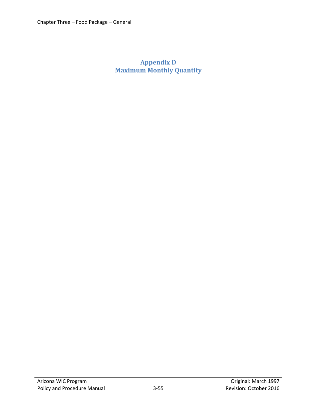# <span id="page-54-0"></span>**Appendix D Maximum Monthly Quantity**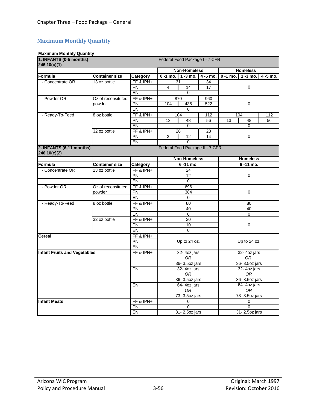### <span id="page-55-0"></span>**Maximum Monthly Quantity**

#### **Maximum Monthly Quantity**

| 1. INFANTS (0-5 months)<br>Federal Food Package I - 7 CFR<br>246.10(c)(1) |                       |            |                                  |          |                            |             |
|---------------------------------------------------------------------------|-----------------------|------------|----------------------------------|----------|----------------------------|-------------|
|                                                                           |                       |            | <b>Non-Homeless</b>              |          | <b>Homeless</b>            |             |
| <b>Formula</b>                                                            | <b>Container size</b> | Category   | $0 - 1$ mo.<br>$1 - 3$ mo.       | 4 -5 mo. | $1 - 3$ mo.<br>$0 - 1$ mo. | $4 - 5$ mo. |
| - Concentrate OR                                                          | 13 oz bottle          | IFF & IPN+ | 31                               | 34       |                            |             |
|                                                                           |                       | <b>IPN</b> | 4<br>$\overline{14}$             | 17       | 0                          |             |
|                                                                           |                       | <b>IEN</b> | $\Omega$                         |          |                            |             |
| - Powder OR                                                               | Oz of reconsituted    | IFF & IPN+ | 870                              | 960      |                            |             |
|                                                                           | powder                | <b>IPN</b> | 104<br>435                       | 522      | 0                          |             |
|                                                                           |                       | <b>IEN</b> | 0                                |          |                            |             |
| - Ready-To-Feed                                                           | 8 oz bottle           | IFF & IPN+ | 104                              | 112      | 104                        | 112         |
|                                                                           |                       | <b>IPN</b> | 13<br>48                         | 56       | 13<br>48                   | 56          |
|                                                                           |                       | <b>IEN</b> | 0                                |          | $\mathbf 0$                |             |
|                                                                           | 32 oz bottle          | IFF & IPN+ | 26                               | 28       |                            |             |
|                                                                           |                       | <b>IPN</b> | 3<br>12                          | 14       | 0                          |             |
|                                                                           |                       | <b>IEN</b> | $\Omega$                         |          |                            |             |
| 2. INFANTS (6-11 months)<br>246.10(c)(2)                                  |                       |            | Federal Food Package II - 7 CFR  |          |                            |             |
|                                                                           |                       |            | <b>Non-Homeless</b>              |          | <b>Homeless</b>            |             |
| Formula                                                                   | <b>Container size</b> | Category   | $6 - 11$ mo.                     |          | 6-11 mo.                   |             |
| - Concentrate OR                                                          | 13 oz bottle          | IFF & IPN+ | 24                               |          |                            |             |
|                                                                           |                       | <b>IPN</b> | 12                               |          | 0                          |             |
|                                                                           |                       | <b>IEN</b> | $\mathbf 0$                      |          |                            |             |
| - Powder OR                                                               | Oz of reconsituted    | IFF & IPN+ | 696                              |          |                            |             |
|                                                                           | powder                | <b>IPN</b> | 384                              |          | 0                          |             |
|                                                                           |                       | <b>IEN</b> | $\mathbf 0$                      |          |                            |             |
| - Ready-To-Feed                                                           | 8 oz bottle           | IFF & IPN+ | 80                               |          | 80                         |             |
|                                                                           |                       | <b>IPN</b> | 40                               |          | 40                         |             |
|                                                                           |                       | <b>IEN</b> | $\Omega$                         |          | $\Omega$                   |             |
|                                                                           | 32 oz bottle          | IFF & IPN+ | 20                               |          |                            |             |
|                                                                           |                       | <b>IPN</b> | 10                               |          | $\pmb{0}$                  |             |
|                                                                           |                       | <b>IEN</b> | $\mathbf 0$                      |          |                            |             |
| <b>Cereal</b>                                                             |                       | IFF & IPN+ |                                  |          |                            |             |
|                                                                           |                       | <b>IPN</b> | Up to 24 oz.                     |          | Up to 24 oz.               |             |
|                                                                           |                       | <b>IEN</b> |                                  |          |                            |             |
| <b>Infant Fruits and Vegetables</b>                                       |                       | IFF & IPN+ | 32-4oz jars                      |          | 32-4oz jars                |             |
|                                                                           |                       |            | 0R                               |          | 0R                         |             |
|                                                                           |                       |            | 36-3.5oz jars                    |          | 36-3.5oz jars              |             |
|                                                                           |                       | <b>IPN</b> | 32-4oz jars                      |          | 32- 4oz jars               |             |
|                                                                           |                       |            | 0R                               |          | 0R                         |             |
|                                                                           |                       |            | 36-3.5oz jars                    |          | 36-3.5oz jars              |             |
|                                                                           |                       | <b>IEN</b> | 64-4oz jars                      |          | 64-4oz jars                |             |
|                                                                           |                       |            | 0 <sub>R</sub>                   |          | 0 <sub>R</sub>             |             |
|                                                                           |                       |            | 73-3.5oz jars                    |          | 73-3.5oz jars              |             |
| <b>Infant Meats</b>                                                       |                       | IFF & IPN+ | 0                                |          | $\mathbf 0$                |             |
|                                                                           |                       | <b>IPN</b> | $\overline{0}$<br>$\overline{0}$ |          |                            |             |
|                                                                           |                       | <b>IEN</b> | 31-2.5oz jars                    |          | 31-2.50z jars              |             |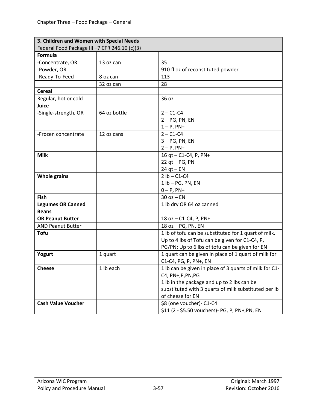| 3. Children and Women with Special Needs     |              |                                                        |
|----------------------------------------------|--------------|--------------------------------------------------------|
| Federal Food Package III-7 CFR 246.10 (c)(3) |              |                                                        |
| <b>Formula</b>                               |              |                                                        |
| -Concentrate, OR                             | 13 oz can    | 35                                                     |
| -Powder, OR                                  |              | 910 fl oz of reconstituted powder                      |
| -Ready-To-Feed                               | 8 oz can     | 113                                                    |
|                                              | 32 oz can    | 28                                                     |
| <b>Cereal</b>                                |              |                                                        |
| Regular, hot or cold                         |              | 36 oz                                                  |
| Juice                                        |              |                                                        |
| -Single-strength, OR                         | 64 oz bottle | $2 - C1 - C4$                                          |
|                                              |              | $2 - PG$ , PN, EN                                      |
|                                              |              | $1 - P$ , PN+                                          |
| -Frozen concentrate                          | 12 oz cans   | $2 - C1 - C4$                                          |
|                                              |              | $3 - PG$ , PN, EN                                      |
|                                              |              | $2 - P$ , PN+                                          |
| <b>Milk</b>                                  |              | 16 qt - C1-C4, P, PN+                                  |
|                                              |              | $22$ qt - PG, PN                                       |
|                                              |              | $24$ qt – EN                                           |
| <b>Whole grains</b>                          |              | $2 lb - C1-C4$                                         |
|                                              |              | $1 lb - PG, PN, EN$                                    |
|                                              |              | $0 - P$ , PN+                                          |
| <b>Fish</b>                                  |              | $30$ oz $-$ EN                                         |
| <b>Legumes OR Canned</b>                     |              | 1 lb dry OR 64 oz canned                               |
| <b>Beans</b>                                 |              |                                                        |
| <b>OR Peanut Butter</b>                      |              | 18 oz - C1-C4, P, PN+                                  |
| <b>AND Peanut Butter</b>                     |              | 18 oz - PG, PN, EN                                     |
| <b>Tofu</b>                                  |              | 1 lb of tofu can be substituted for 1 quart of milk.   |
|                                              |              | Up to 4 lbs of Tofu can be given for C1-C4, P,         |
|                                              |              | PG/PN; Up to 6 lbs of tofu can be given for EN         |
| Yogurt                                       | 1 quart      | 1 quart can be given in place of 1 quart of milk for   |
|                                              |              | C1-C4, PG, P, PN+, EN                                  |
| <b>Cheese</b>                                | 1 lb each    | 1 lb can be given in place of 3 quarts of milk for C1- |
|                                              |              | C4, PN+, P, PN, PG                                     |
|                                              |              | 1 lb in the package and up to 2 lbs can be             |
|                                              |              | substituted with 3 quarts of milk substituted per lb   |
|                                              |              | of cheese for EN                                       |
| <b>Cash Value Voucher</b>                    |              | \$8 (one voucher)- C1-C4                               |
|                                              |              | \$11 (2 - \$5.50 vouchers) - PG, P, PN+, PN, EN        |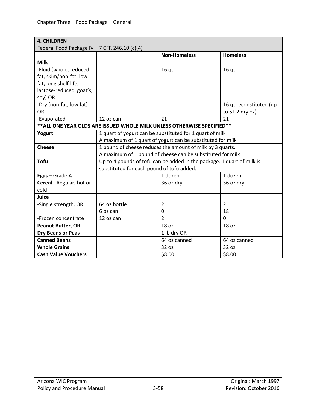| <b>4. CHILDREN</b>                            |                                                           |                                                                          |                         |  |
|-----------------------------------------------|-----------------------------------------------------------|--------------------------------------------------------------------------|-------------------------|--|
| Federal Food Package IV - 7 CFR 246.10 (c)(4) |                                                           |                                                                          |                         |  |
|                                               |                                                           | <b>Non-Homeless</b>                                                      | <b>Homeless</b>         |  |
| <b>Milk</b>                                   |                                                           |                                                                          |                         |  |
| -Fluid (whole, reduced                        |                                                           | 16 <sub>qt</sub>                                                         | 16 <sub>qt</sub>        |  |
| fat, skim/non-fat, low                        |                                                           |                                                                          |                         |  |
| fat, long shelf life,                         |                                                           |                                                                          |                         |  |
| lactose-reduced, goat's,                      |                                                           |                                                                          |                         |  |
| soy) OR                                       |                                                           |                                                                          |                         |  |
| -Dry (non-fat, low fat)                       |                                                           |                                                                          | 16 qt reconstituted (up |  |
| <b>OR</b>                                     |                                                           |                                                                          | to 51.2 dry oz)         |  |
| -Evaporated                                   | 12 oz can                                                 | 21                                                                       | 21                      |  |
|                                               |                                                           | ** ALL ONE YEAR OLDS ARE ISSUED WHOLE MILK UNLESS OTHERWISE SPECIFIED ** |                         |  |
| Yogurt                                        | 1 quart of yogurt can be substituted for 1 quart of milk  |                                                                          |                         |  |
|                                               |                                                           | A maximum of 1 quart of yogurt can be substituted for milk               |                         |  |
| <b>Cheese</b>                                 | 1 pound of cheese reduces the amount of milk by 3 quarts. |                                                                          |                         |  |
|                                               |                                                           | A maximum of 1 pound of cheese can be substituted for milk               |                         |  |
| <b>Tofu</b>                                   |                                                           | Up to 4 pounds of tofu can be added in the package. 1 quart of milk is   |                         |  |
|                                               | substituted for each pound of tofu added.                 |                                                                          |                         |  |
| Eggs - Grade A                                |                                                           | 1 dozen                                                                  | 1 dozen                 |  |
| Cereal - Regular, hot or                      |                                                           | 36 oz dry                                                                | 36 oz dry               |  |
| cold                                          |                                                           |                                                                          |                         |  |
| Juice                                         |                                                           |                                                                          |                         |  |
| -Single strength, OR                          | 64 oz bottle                                              | 2                                                                        | $\overline{2}$          |  |
|                                               | 6 oz can                                                  | $\Omega$                                                                 | 18                      |  |
| -Frozen concentrate                           | 12 oz can                                                 | $\overline{2}$                                                           | $\overline{0}$          |  |
| <b>Peanut Butter, OR</b>                      |                                                           | 18 oz                                                                    | 18 oz                   |  |
| <b>Dry Beans or Peas</b>                      |                                                           | 1 lb dry OR                                                              |                         |  |
| <b>Canned Beans</b>                           |                                                           | 64 oz canned                                                             | 64 oz canned            |  |
| <b>Whole Grains</b>                           |                                                           | 32 oz                                                                    | 32 oz                   |  |
| <b>Cash Value Vouchers</b>                    |                                                           | \$8.00                                                                   | \$8.00                  |  |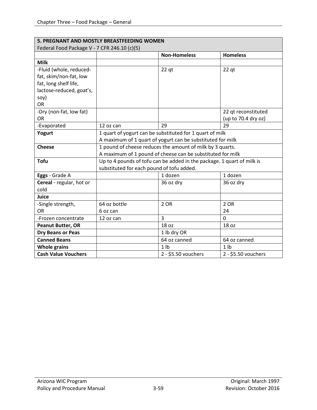| 5. PREGNANT AND MOSTLY BREASTFEEDING WOMEN   |                                                            |                                                                        |                     |  |
|----------------------------------------------|------------------------------------------------------------|------------------------------------------------------------------------|---------------------|--|
| Federal Food Package V - 7 CFR 246.10 (c)(5) |                                                            |                                                                        |                     |  |
|                                              |                                                            | <b>Non-Homeless</b>                                                    | <b>Homeless</b>     |  |
| <b>Milk</b>                                  |                                                            |                                                                        |                     |  |
| -Fluid (whole, reduced-                      |                                                            | $22$ qt                                                                | $22$ qt             |  |
| fat, skim/non-fat, low                       |                                                            |                                                                        |                     |  |
| fat, long shelf life,                        |                                                            |                                                                        |                     |  |
| lactose-reduced, goat's,                     |                                                            |                                                                        |                     |  |
| soy)                                         |                                                            |                                                                        |                     |  |
| <b>OR</b>                                    |                                                            |                                                                        |                     |  |
| -Dry (non-fat, low fat)                      |                                                            |                                                                        | 22 qt reconstituted |  |
| OR                                           |                                                            |                                                                        | (up to 70.4 dry oz) |  |
| -Evaporated                                  | 12 oz can                                                  | 29                                                                     | 29                  |  |
| Yogurt                                       | 1 quart of yogurt can be substituted for 1 quart of milk   |                                                                        |                     |  |
|                                              | A maximum of 1 quart of yogurt can be substituted for milk |                                                                        |                     |  |
| <b>Cheese</b>                                | 1 pound of cheese reduces the amount of milk by 3 quarts.  |                                                                        |                     |  |
|                                              |                                                            | A maximum of 1 pound of cheese can be substituted for milk             |                     |  |
| <b>Tofu</b>                                  |                                                            | Up to 4 pounds of tofu can be added in the package. 1 quart of milk is |                     |  |
|                                              | substituted for each pound of tofu added.                  |                                                                        |                     |  |
| Eggs - Grade A                               |                                                            | 1 dozen                                                                | 1 dozen             |  |
| Cereal - regular, hot or                     |                                                            | 36 oz dry                                                              | 36 oz dry           |  |
| cold                                         |                                                            |                                                                        |                     |  |
| Juice                                        |                                                            |                                                                        |                     |  |
| -Single strength,                            | 64 oz bottle                                               | 2 OR                                                                   | 2 OR                |  |
| <b>OR</b>                                    | 6 oz can                                                   |                                                                        | 24                  |  |
| -Frozen concentrate                          | 12 oz can                                                  | $\overline{3}$                                                         | 0                   |  |
| <b>Peanut Butter, OR</b>                     |                                                            | 18 oz                                                                  | 18 oz               |  |
| <b>Dry Beans or Peas</b>                     |                                                            | 1 lb dry OR                                                            |                     |  |
| <b>Canned Beans</b>                          |                                                            | 64 oz canned                                                           | 64 oz canned        |  |
| <b>Whole grains</b>                          |                                                            | 1 <sub>h</sub>                                                         | 1 <sub>1</sub>      |  |
| <b>Cash Value Vouchers</b>                   |                                                            | 2 - \$5.50 vouchers                                                    | 2 - \$5.50 vouchers |  |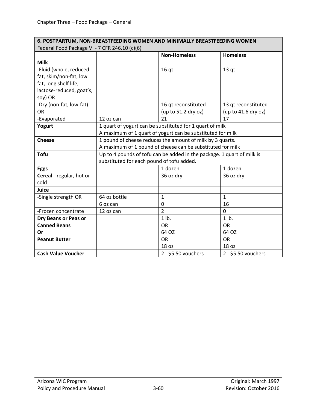| 6. POSTPARTUM, NON-BREASTFEEDING WOMEN AND MINIMALLY BREASTFEEDING WOMEN |                                                                        |                                                           |                     |  |
|--------------------------------------------------------------------------|------------------------------------------------------------------------|-----------------------------------------------------------|---------------------|--|
| Federal Food Package VI - 7 CFR 246.10 (c)(6)                            |                                                                        |                                                           |                     |  |
|                                                                          |                                                                        | <b>Non-Homeless</b>                                       | <b>Homeless</b>     |  |
| <b>Milk</b>                                                              |                                                                        |                                                           |                     |  |
| -Fluid (whole, reduced-                                                  |                                                                        | 16 <sub>qt</sub>                                          | 13 <sub>qt</sub>    |  |
| fat, skim/non-fat, low                                                   |                                                                        |                                                           |                     |  |
| fat, long shelf life,                                                    |                                                                        |                                                           |                     |  |
| lactose-reduced, goat's,                                                 |                                                                        |                                                           |                     |  |
| soy) OR                                                                  |                                                                        |                                                           |                     |  |
| -Dry (non-fat, low-fat)                                                  |                                                                        | 16 qt reconstituted                                       | 13 qt reconstituted |  |
| <b>OR</b>                                                                |                                                                        | (up to 51.2 dry oz)                                       | (up to 41.6 dry oz) |  |
| -Evaporated                                                              | 12 oz can                                                              | 21                                                        | 17                  |  |
| Yogurt                                                                   | 1 quart of yogurt can be substituted for 1 quart of milk               |                                                           |                     |  |
|                                                                          | A maximum of 1 quart of yogurt can be substituted for milk             |                                                           |                     |  |
| <b>Cheese</b>                                                            |                                                                        | 1 pound of cheese reduces the amount of milk by 3 quarts. |                     |  |
|                                                                          | A maximum of 1 pound of cheese can be substituted for milk             |                                                           |                     |  |
| <b>Tofu</b>                                                              | Up to 4 pounds of tofu can be added in the package. 1 quart of milk is |                                                           |                     |  |
|                                                                          | substituted for each pound of tofu added.                              |                                                           |                     |  |
| <b>Eggs</b>                                                              |                                                                        | 1 dozen                                                   | 1 dozen             |  |
| Cereal - regular, hot or                                                 |                                                                        | 36 oz dry                                                 | 36 oz dry           |  |
| cold                                                                     |                                                                        |                                                           |                     |  |
| Juice                                                                    |                                                                        |                                                           |                     |  |
| -Single strength OR                                                      | 64 oz bottle                                                           | $\mathbf{1}$                                              | $\mathbf{1}$        |  |
|                                                                          | 6 oz can                                                               | $\Omega$                                                  | 16                  |  |
| -Frozen concentrate                                                      | 12 oz can                                                              | $\overline{2}$                                            | $\mathbf 0$         |  |
| Dry Beans or Peas or                                                     |                                                                        | $1$ lb.                                                   | $1$ lb.             |  |
| <b>Canned Beans</b>                                                      |                                                                        | <b>OR</b>                                                 | <b>OR</b>           |  |
| Or                                                                       |                                                                        | 64 OZ                                                     | 64 OZ               |  |
| <b>Peanut Butter</b>                                                     |                                                                        | <b>OR</b>                                                 | <b>OR</b>           |  |
|                                                                          |                                                                        | 18 oz                                                     | 18 oz               |  |
| <b>Cash Value Voucher</b>                                                |                                                                        | 2 - \$5.50 vouchers                                       | 2 - \$5.50 vouchers |  |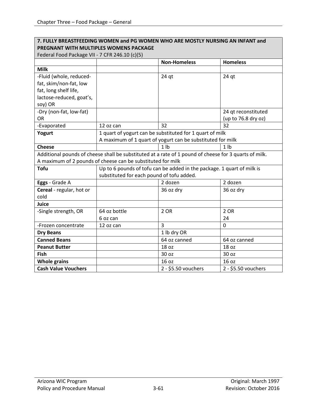### **7. FULLY BREASTFEEDING WOMEN and PG WOMEN WHO ARE MOSTLY NURSING AN INFANT and PREGNANT WITH MULTIPLES WOMENS PACKAGE**

| Federal Food Package VII - 7 CFR 246.10 (c)(5) |  |
|------------------------------------------------|--|
|------------------------------------------------|--|

| $1 \text{ cm} \cdot \text{ cm} + \text{ cm} \cdot \text{ cm}$ |                                                             | <b>Non-Homeless</b>                                                                                   | <b>Homeless</b>     |
|---------------------------------------------------------------|-------------------------------------------------------------|-------------------------------------------------------------------------------------------------------|---------------------|
| <b>Milk</b>                                                   |                                                             |                                                                                                       |                     |
| -Fluid (whole, reduced-                                       |                                                             | $24$ qt                                                                                               | $24$ qt             |
| fat, skim/non-fat, low                                        |                                                             |                                                                                                       |                     |
| fat, long shelf life,                                         |                                                             |                                                                                                       |                     |
| lactose-reduced, goat's,                                      |                                                             |                                                                                                       |                     |
| soy) OR                                                       |                                                             |                                                                                                       |                     |
| -Dry (non-fat, low-fat)                                       |                                                             |                                                                                                       | 24 qt reconstituted |
| <b>OR</b>                                                     |                                                             |                                                                                                       | (up to 76.8 dry oz) |
| -Evaporated                                                   | 12 oz can                                                   | 32                                                                                                    | 32                  |
| Yogurt                                                        | 1 quart of yogurt can be substituted for 1 quart of milk    |                                                                                                       |                     |
|                                                               | A maximum of 1 quart of yogurt can be substituted for milk  |                                                                                                       |                     |
| <b>Cheese</b>                                                 |                                                             | 1 <sub>lb</sub>                                                                                       | 1 <sub>h</sub>      |
|                                                               |                                                             | Additional pounds of cheese shall be substituted at a rate of 1 pound of cheese for 3 quarts of milk. |                     |
|                                                               | A maximum of 2 pounds of cheese can be substituted for milk |                                                                                                       |                     |
| <b>Tofu</b>                                                   |                                                             | Up to 6 pounds of tofu can be added in the package. 1 quart of milk is                                |                     |
|                                                               | substituted for each pound of tofu added.                   |                                                                                                       |                     |
| Eggs - Grade A                                                |                                                             | 2 dozen                                                                                               | 2 dozen             |
| Cereal - regular, hot or                                      |                                                             | 36 oz dry                                                                                             | 36 oz dry           |
| cold                                                          |                                                             |                                                                                                       |                     |
| <b>Juice</b>                                                  |                                                             |                                                                                                       |                     |
| -Single strength, OR                                          | 64 oz bottle                                                | 2 OR                                                                                                  | 2 OR                |
|                                                               | 6 oz can                                                    |                                                                                                       | 24                  |
| -Frozen concentrate                                           | 12 oz can                                                   | $\overline{3}$                                                                                        | $\Omega$            |
| <b>Dry Beans</b>                                              |                                                             | 1 lb dry OR                                                                                           |                     |
| <b>Canned Beans</b>                                           |                                                             | 64 oz canned                                                                                          | 64 oz canned        |
| <b>Peanut Butter</b>                                          |                                                             | 18 oz                                                                                                 | 18 oz               |
| Fish                                                          |                                                             | 30 oz                                                                                                 | 30 oz               |
| <b>Whole grains</b>                                           |                                                             | 16 <sub>oz</sub>                                                                                      | 16 oz               |
| <b>Cash Value Vouchers</b>                                    |                                                             | 2 - \$5.50 vouchers                                                                                   | 2 - \$5.50 vouchers |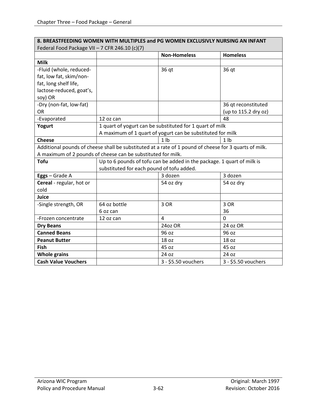| 8. BREASTFEEDING WOMEN WITH MULTIPLES and PG WOMEN EXCLUSIVLY NURSING AN INFANT |                                                              |                                                                                                       |                      |  |
|---------------------------------------------------------------------------------|--------------------------------------------------------------|-------------------------------------------------------------------------------------------------------|----------------------|--|
| Federal Food Package VII - 7 CFR 246.10 (c)(7)                                  |                                                              |                                                                                                       |                      |  |
|                                                                                 |                                                              | <b>Non-Homeless</b>                                                                                   | <b>Homeless</b>      |  |
| <b>Milk</b>                                                                     |                                                              |                                                                                                       |                      |  |
| -Fluid (whole, reduced-                                                         |                                                              | 36 qt                                                                                                 | 36 qt                |  |
| fat, low fat, skim/non-                                                         |                                                              |                                                                                                       |                      |  |
| fat, long shelf life,                                                           |                                                              |                                                                                                       |                      |  |
| lactose-reduced, goat's,                                                        |                                                              |                                                                                                       |                      |  |
| soy) OR                                                                         |                                                              |                                                                                                       |                      |  |
| -Dry (non-fat, low-fat)                                                         |                                                              |                                                                                                       | 36 qt reconstituted  |  |
| <b>OR</b>                                                                       |                                                              |                                                                                                       | (up to 115.2 dry oz) |  |
| -Evaporated                                                                     | 12 oz can                                                    |                                                                                                       | 48                   |  |
| Yogurt                                                                          | 1 quart of yogurt can be substituted for 1 quart of milk     |                                                                                                       |                      |  |
|                                                                                 | A maximum of 1 quart of yogurt can be substituted for milk   |                                                                                                       |                      |  |
| <b>Cheese</b>                                                                   |                                                              | 1 <sub>1</sub>                                                                                        | 1 <sub>h</sub>       |  |
|                                                                                 |                                                              | Additional pounds of cheese shall be substituted at a rate of 1 pound of cheese for 3 quarts of milk. |                      |  |
|                                                                                 | A maximum of 2 pounds of cheese can be substituted for milk. |                                                                                                       |                      |  |
| <b>Tofu</b>                                                                     |                                                              | Up to 6 pounds of tofu can be added in the package. 1 quart of milk is                                |                      |  |
|                                                                                 | substituted for each pound of tofu added.                    |                                                                                                       |                      |  |
| Eggs - Grade A                                                                  |                                                              | 3 dozen                                                                                               | 3 dozen              |  |
| Cereal - regular, hot or                                                        |                                                              | 54 oz dry                                                                                             | 54 oz dry            |  |
| cold                                                                            |                                                              |                                                                                                       |                      |  |
| <b>Juice</b>                                                                    |                                                              |                                                                                                       |                      |  |
| -Single strength, OR                                                            | 64 oz bottle                                                 | 3 OR                                                                                                  | 3 OR                 |  |
|                                                                                 | 6 oz can                                                     |                                                                                                       | 36                   |  |
| -Frozen concentrate                                                             | 12 oz can                                                    | 4                                                                                                     | 0                    |  |
| <b>Dry Beans</b>                                                                |                                                              | 24oz OR                                                                                               | 24 oz OR             |  |
| <b>Canned Beans</b>                                                             |                                                              | 96 oz                                                                                                 | 96 oz                |  |
| <b>Peanut Butter</b>                                                            |                                                              | 18 oz                                                                                                 | 18 oz                |  |
| <b>Fish</b>                                                                     |                                                              | 45 oz                                                                                                 | 45 oz                |  |
| <b>Whole grains</b>                                                             |                                                              | 24 oz                                                                                                 | 24 oz                |  |
| <b>Cash Value Vouchers</b>                                                      |                                                              | 3 - \$5.50 vouchers                                                                                   | 3 - \$5.50 vouchers  |  |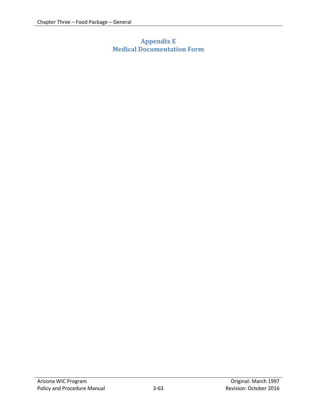# <span id="page-62-0"></span>**Appendix E Medical Documentation Form**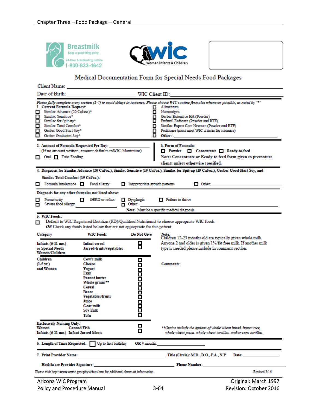



### Medical Documentation Form for Special Needs Food Packages

| <b>Client Name:</b>                                                                                                                                                                                                   |                                                                                                                                                                                         |                               |                                                                                                                                                                                                                                                                                                                                                                               |                        |
|-----------------------------------------------------------------------------------------------------------------------------------------------------------------------------------------------------------------------|-----------------------------------------------------------------------------------------------------------------------------------------------------------------------------------------|-------------------------------|-------------------------------------------------------------------------------------------------------------------------------------------------------------------------------------------------------------------------------------------------------------------------------------------------------------------------------------------------------------------------------|------------------------|
| Date of Birth:                                                                                                                                                                                                        |                                                                                                                                                                                         | WIC Client ID:                |                                                                                                                                                                                                                                                                                                                                                                               |                        |
| 1. Current Formula Request:<br>◻<br>Similac Advance (20 Cal/oz.)*<br>□<br>Similac Sensitive*<br>□<br>Similac for Spit-up*<br>□<br>Similac Total Comfort*<br>□<br>Gerber Good Start Soy*<br>□<br>Gerber Graduates Soy* |                                                                                                                                                                                         |                               | Please fully complete every section (1-7) to avoid delays in issuance. Please choose WIC routine formulas whenever possible, as noted by '*'<br>Alimentum<br>O<br>Nutramigen<br>O<br>Gerber Extensive HA (Powder)<br>Enfamil Enfacare (Powder and RTF)<br>о<br>Similac Expert Care Neosure (Powder and RTF)<br>O<br>Pediasure (must meet WIC criteria for issuance)<br>Other: |                        |
| 2. Amount of Formula Requested Per Day:<br>Oral $\Box$ Tube Feeding<br>0                                                                                                                                              | (If no amount written, amount defaults toWIC Maximum)                                                                                                                                   |                               | 3. Form of Formula:<br>Powder Concentrate Ready-to-feed<br>Note: Concentrate or Ready to feed form given to premature<br>clients unless otherwise specified.                                                                                                                                                                                                                  |                        |
|                                                                                                                                                                                                                       |                                                                                                                                                                                         |                               | 4. Diagnosis for Similac Advance (20 Cal/oz.), Similac Sensitive (19 Cal/oz.), Similac for Spit-up (19 Cal/oz.), Gerber Good Start Soy, and                                                                                                                                                                                                                                   |                        |
| Similac Total Comfort (19 Cal/oz.):<br>Formula Intolerance<br>О                                                                                                                                                       | Food allergy                                                                                                                                                                            | Inappropriate growth patterns | $\Box$ Other:                                                                                                                                                                                                                                                                                                                                                                 |                        |
| Diagnosis for any other formulas not listed above:                                                                                                                                                                    |                                                                                                                                                                                         |                               |                                                                                                                                                                                                                                                                                                                                                                               |                        |
| О<br>Prematurity<br>Severe food allergy<br>О                                                                                                                                                                          | GERD or reflux<br>П                                                                                                                                                                     | □ Dysphagia<br>$\Box$ Other:  | $\Box$ Failure to thrive                                                                                                                                                                                                                                                                                                                                                      |                        |
|                                                                                                                                                                                                                       |                                                                                                                                                                                         |                               | Note: Must be a specific medical diagnosis.                                                                                                                                                                                                                                                                                                                                   |                        |
| 5. WIC Foods:<br>О                                                                                                                                                                                                    | OR Check any foods listed below that are not appropriate for this patient                                                                                                               |                               | Default to WIC Registered Dietitian (RD)/Qualified Nutritionist to choose appropriate WIC foods                                                                                                                                                                                                                                                                               |                        |
| Category                                                                                                                                                                                                              | <b>WIC Foods</b>                                                                                                                                                                        | Do Not Give                   | Note:<br>Children 12-23 months old are typically given whole milk.                                                                                                                                                                                                                                                                                                            |                        |
| □<br><b>Infant cereal</b><br>$Infants (6-11 mo.)$<br>◻<br>or Special Needs<br>Jarred-fruits/vegetables<br><b>Women/Children</b>                                                                                       |                                                                                                                                                                                         |                               | Anyone 2 and older is given 1% fat free milk. If another milk<br>type is needed please include in comment section.                                                                                                                                                                                                                                                            |                        |
| Children<br>$(1-5 \, \text{yr.})$<br>and Women                                                                                                                                                                        | Cow's milk<br><b>Cheese</b><br>Yogurt<br>Eggs<br><b>Peanut butter</b><br>Whole grains**<br>Cereal<br><b>Beans</b><br><b>Vegetables/fruits</b><br>Juice<br>Goat milk<br>Soy milk<br>Tofu | О<br>000000000000             | <b>Comments:</b>                                                                                                                                                                                                                                                                                                                                                              |                        |
| <b>Exclusively Nursing Only:</b><br><b>Canned Fish</b><br>Women<br>Infants (6-11 mo.) Infant Jarred Meats                                                                                                             |                                                                                                                                                                                         | □<br>◻                        | **Grains include the options of whole wheat bread, brown rice,<br>whole wheat pasta, whole wheat tortillas, and/or corn tortillas.                                                                                                                                                                                                                                            |                        |
| 6. Length of Time Requested:                                                                                                                                                                                          | Up to first birthday                                                                                                                                                                    | OR# months:                   |                                                                                                                                                                                                                                                                                                                                                                               |                        |
| 7. Print Provider Name:                                                                                                                                                                                               |                                                                                                                                                                                         |                               | Title (Circle): M.D., D.O., P.A., N.P.                                                                                                                                                                                                                                                                                                                                        | Date:                  |
| <b>Healthcare Provider Signature:</b>                                                                                                                                                                                 |                                                                                                                                                                                         |                               | <b>Phone Number:</b>                                                                                                                                                                                                                                                                                                                                                          |                        |
| Please visit http://www.azwic.gov/physicians.htm for additional forms or information.                                                                                                                                 |                                                                                                                                                                                         |                               |                                                                                                                                                                                                                                                                                                                                                                               | Revised 3/16           |
| Arizona WIC Program                                                                                                                                                                                                   |                                                                                                                                                                                         |                               |                                                                                                                                                                                                                                                                                                                                                                               | Original: March 1997   |
| Policy and Procedure Manual                                                                                                                                                                                           |                                                                                                                                                                                         |                               | $3 - 64$                                                                                                                                                                                                                                                                                                                                                                      | Revision: October 2016 |